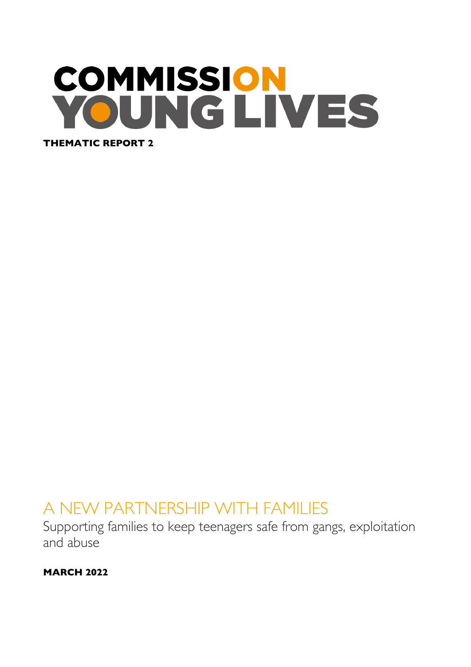# **COMMISSION** OUNGLIVES **THEMATIC REPORT 2**

## A NEW PARTNERSHIP WITH FAMILIES

Supporting families to keep teenagers safe from gangs, exploitation and abuse

**MARCH 2022**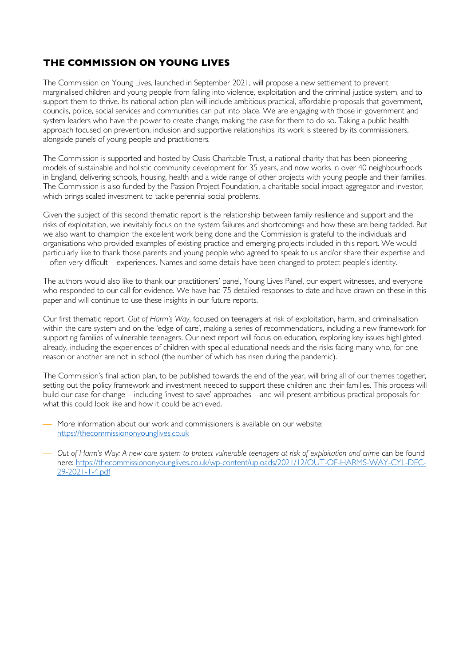#### **THE COMMISSION ON YOUNG LIVES**

The Commission on Young Lives, launched in September 2021, will propose a new settlement to prevent marginalised children and young people from falling into violence, exploitation and the criminal justice system, and to support them to thrive. Its national action plan will include ambitious practical, affordable proposals that government, councils, police, social services and communities can put into place. We are engaging with those in government and system leaders who have the power to create change, making the case for them to do so. Taking a public health approach focused on prevention, inclusion and supportive relationships, its work is steered by its commissioners, alongside panels of young people and practitioners.

The Commission is supported and hosted by Oasis Charitable Trust, a national charity that has been pioneering models of sustainable and holistic community development for 35 years, and now works in over 40 neighbourhoods in England, delivering schools, housing, health and a wide range of other projects with young people and their families. The Commission is also funded by the Passion Project Foundation, a charitable social impact aggregator and investor, which brings scaled investment to tackle perennial social problems.

Given the subject of this second thematic report is the relationship between family resilience and support and the risks of exploitation, we inevitably focus on the system failures and shortcomings and how these are being tackled. But we also want to champion the excellent work being done and the Commission is grateful to the individuals and organisations who provided examples of existing practice and emerging projects included in this report. We would particularly like to thank those parents and young people who agreed to speak to us and/or share their expertise and – often very difficult – experiences. Names and some details have been changed to protect people's identity.

The authors would also like to thank our practitioners' panel, Young Lives Panel, our expert witnesses, and everyone who responded to our call for evidence. We have had 75 detailed responses to date and have drawn on these in this paper and will continue to use these insights in our future reports.

Our first thematic report, *Out of Harm's Way*, focused on teenagers at risk of exploitation, harm, and criminalisation within the care system and on the 'edge of care', making a series of recommendations, including a new framework for supporting families of vulnerable teenagers. Our next report will focus on education, exploring key issues highlighted already, including the experiences of children with special educational needs and the risks facing many who, for one reason or another are not in school (the number of which has risen during the pandemic).

The Commission's final action plan, to be published towards the end of the year, will bring all of our themes together, setting out the policy framework and investment needed to support these children and their families. This process will build our case for change – including 'invest to save' approaches – and will present ambitious practical proposals for what this could look like and how it could be achieved.

More information about our work and commissioners is available on our website: https://thecommissiononyounglives.co.uk

¾ *Out of Harm's Way: A new care system to protect vulnerable teenagers at risk of exploitation and crime* can be found here: https://thecommissiononyounglives.co.uk/wp-content/uploads/2021/12/OUT-OF-HARMS-WAY-CYL-DEC-29-2021-1-4.pdf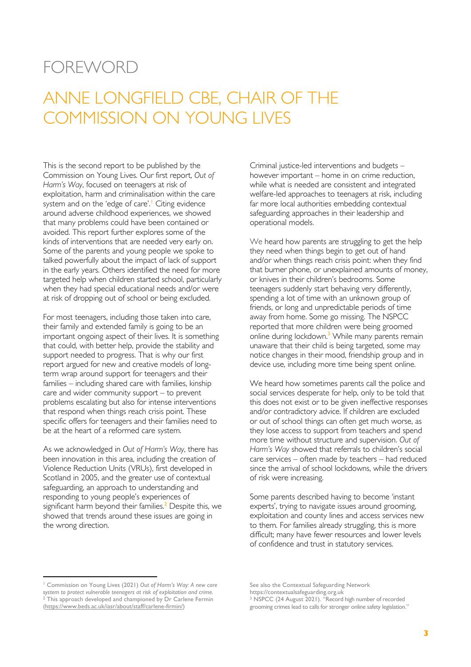### FOREWORD

# ANNE LONGFIELD CBE, CHAIR OF THE COMMISSION ON YOUNG LIVES

This is the second report to be published by the Commission on Young Lives. Our first report, *Out of Harm's Way*, focused on teenagers at risk of exploitation, harm and criminalisation within the care system and on the 'edge of care'.<sup>1</sup> Citing evidence around adverse childhood experiences, we showed that many problems could have been contained or avoided. This report further explores some of the kinds of interventions that are needed very early on. Some of the parents and young people we spoke to talked powerfully about the impact of lack of support in the early years. Others identified the need for more targeted help when children started school, particularly when they had special educational needs and/or were at risk of dropping out of school or being excluded.

For most teenagers, including those taken into care, their family and extended family is going to be an important ongoing aspect of their lives. It is something that could, with better help, provide the stability and support needed to progress. That is why our first report argued for new and creative models of longterm wrap around support for teenagers and their families – including shared care with families, kinship care and wider community support – to prevent problems escalating but also for intense interventions that respond when things reach crisis point. These specific offers for teenagers and their families need to be at the heart of a reformed care system.

As we acknowledged in *Out of Harm's Way*, there has been innovation in this area, including the creation of Violence Reduction Units (VRUs), first developed in Scotland in 2005, and the greater use of contextual safeguarding, an approach to understanding and responding to young people's experiences of significant harm beyond their families. <sup>2</sup> Despite this, we showed that trends around these issues are going in the wrong direction.

Criminal justice-led interventions and budgets – however important – home in on crime reduction, while what is needed are consistent and integrated welfare-led approaches to teenagers at risk, including far more local authorities embedding contextual safeguarding approaches in their leadership and operational models.

We heard how parents are struggling to get the help they need when things begin to get out of hand and/or when things reach crisis point: when they find that burner phone, or unexplained amounts of money, or knives in their children's bedrooms. Some teenagers suddenly start behaving very differently, spending a lot of time with an unknown group of friends, or long and unpredictable periods of time away from home. Some go missing. The NSPCC reported that more children were being groomed online during lockdown.<sup>3</sup> While many parents remain unaware that their child is being targeted, some may notice changes in their mood, friendship group and in device use, including more time being spent online.

We heard how sometimes parents call the police and social services desperate for help, only to be told that this does not exist or to be given ineffective responses and/or contradictory advice. If children are excluded or out of school things can often get much worse, as they lose access to support from teachers and spend more time without structure and supervision. *Out of Harm's Way* showed that referrals to children's social care services – often made by teachers – had reduced since the arrival of school lockdowns, while the drivers of risk were increasing.

Some parents described having to become 'instant experts', trying to navigate issues around grooming, exploitation and county lines and access services new to them. For families already struggling, this is more difficult; many have fewer resources and lower levels of confidence and trust in statutory services.

<sup>1</sup> Commission on Young Lives (2021) *Out of Harm's Way: A new care system to protect vulnerable teenagers at risk of exploitation and crime.* <sup>2</sup> This approach developed and championed by Dr Carlene Fermin (https://www.beds.ac.uk/iasr/about/staff/carlene-firmin/)

See also the Contextual Safeguarding Network

https://contextualsafeguarding.org.uk

<sup>3</sup> NSPCC (24 August 2021). "Record high number of recorded grooming crimes lead to calls for stronger online safety legislation."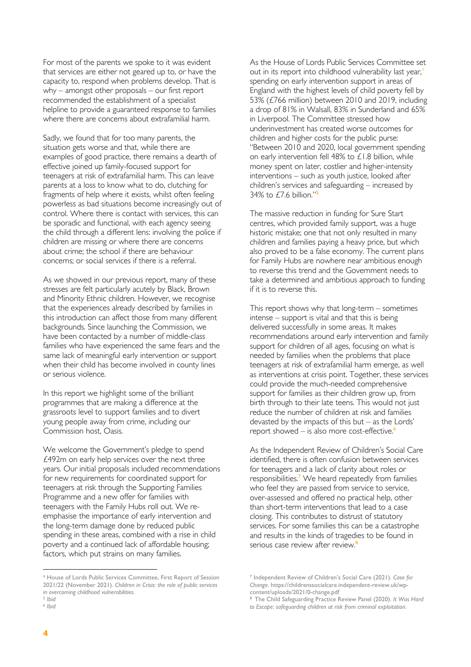For most of the parents we spoke to it was evident that services are either not geared up to, or have the capacity to, respond when problems develop. That is why – amongst other proposals – our first report recommended the establishment of a specialist helpline to provide a guaranteed response to families where there are concerns about extrafamilial harm.

Sadly, we found that for too many parents, the situation gets worse and that, while there are examples of good practice, there remains a dearth of effective joined up family-focused support for teenagers at risk of extrafamilial harm. This can leave parents at a loss to know what to do, clutching for fragments of help where it exists, whilst often feeling powerless as bad situations become increasingly out of control. Where there is contact with services, this can be sporadic and functional, with each agency seeing the child through a different lens: involving the police if children are missing or where there are concerns about crime; the school if there are behaviour concerns; or social services if there is a referral.

As we showed in our previous report, many of these stresses are felt particularly acutely by Black, Brown and Minority Ethnic children. However, we recognise that the experiences already described by families in this introduction can affect those from many different backgrounds. Since launching the Commission, we have been contacted by a number of middle-class families who have experienced the same fears and the same lack of meaningful early intervention or support when their child has become involved in county lines or serious violence.

In this report we highlight some of the brilliant programmes that are making a difference at the grassroots level to support families and to divert young people away from crime, including our Commission host, Oasis.

We welcome the Government's pledge to spend £492m on early help services over the next three years. Our initial proposals included recommendations for new requirements for coordinated support for teenagers at risk through the Supporting Families Programme and a new offer for families with teenagers with the Family Hubs roll out. We reemphasise the importance of early intervention and the long-term damage done by reduced public spending in these areas, combined with a rise in child poverty and a continued lack of affordable housing; factors, which put strains on many families.

<sup>4</sup> House of Lords Public Services Committee, First Report of Session 2021/22 (November 2021). *Children in Crisis: the role of public services in overcoming childhood vulnerabilities.*

5 *Ibid* 6 *Ibid* As the House of Lords Public Services Committee set out in its report into childhood vulnerability last year,<sup>4</sup> spending on early intervention support in areas of England with the highest levels of child poverty fell by 53% (£766 million) between 2010 and 2019, including a drop of 81% in Walsall, 83% in Sunderland and 65% in Liverpool. The Committee stressed how underinvestment has created worse outcomes for children and higher costs for the public purse: "Between 2010 and 2020, local government spending on early intervention fell 48% to £1.8 billion, while money spent on later, costlier and higher-intensity interventions – such as youth justice, looked after children's services and safeguarding – increased by 34% to £7.6 billion."<sup>5</sup>

The massive reduction in funding for Sure Start centres, which provided family support, was a huge historic mistake; one that not only resulted in many children and families paying a heavy price, but which also proved to be a false economy. The current plans for Family Hubs are nowhere near ambitious enough to reverse this trend and the Government needs to take a determined and ambitious approach to funding if it is to reverse this.

This report shows why that long-term – sometimes intense – support is vital and that this is being delivered successfully in some areas. It makes recommendations around early intervention and family support for children of all ages, focusing on what is needed by families when the problems that place teenagers at risk of extrafamilial harm emerge, as well as interventions at crisis point. Together, these services could provide the much-needed comprehensive support for families as their children grow up, from birth through to their late teens. This would not just reduce the number of children at risk and families devasted by the impacts of this but – as the Lords' report showed – is also more cost-effective. $6$ 

As the Independent Review of Children's Social Care identified, there is often confusion between services for teenagers and a lack of clarity about roles or responsibilities.<sup>7</sup> We heard repeatedly from families who feel they are passed from service to service, over-assessed and offered no practical help, other than short-term interventions that lead to a case closing. This contributes to distrust of statutory services. For some families this can be a catastrophe and results in the kinds of tragedies to be found in serious case review after review.<sup>8</sup>

<sup>7</sup> Independent Review of Children's Social Care (2021). *Case for Change*. https://childrenssocialcare.independent-review.uk/wp-

content/uploads/2021/0-change.pdf <sup>8</sup> The Child Safeguarding Practice Review Panel (2020). *It Was Hard to Escape: safeguarding children at risk from criminal exploitation*.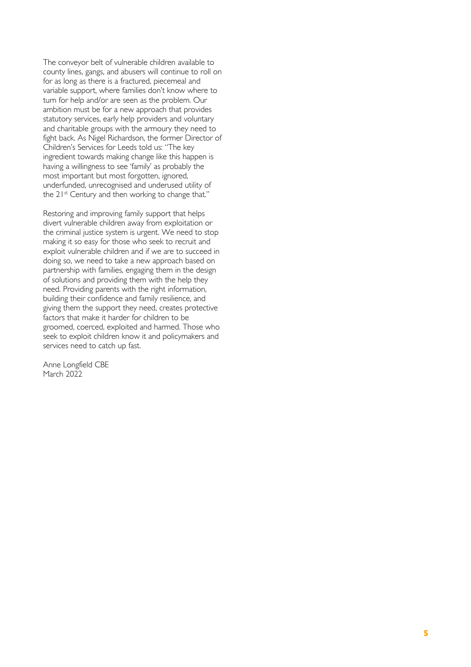The conveyor belt of vulnerable children available to county lines, gangs, and abusers will continue to roll on for as long as there is a fractured, piecemeal and variable support, where families don't know where to turn for help and/or are seen as the problem. Our ambition must be for a new approach that provides statutory services, early help providers and voluntary and charitable groups with the armoury they need to fight back. As Nigel Richardson, the former Director of Children's Services for Leeds told us: "The key ingredient towards making change like this happen is having a willingness to see 'family' as probably the most important but most forgotten, ignored, underfunded, unrecognised and underused utility of the 21<sup>st</sup> Century and then working to change that."

Restoring and improving family support that helps divert vulnerable children away from exploitation or the criminal justice system is urgent. We need to stop making it so easy for those who seek to recruit and exploit vulnerable children and if we are to succeed in doing so, we need to take a new approach based on partnership with families, engaging them in the design of solutions and providing them with the help they need. Providing parents with the right information, building their confidence and family resilience, and giving them the support they need, creates protective factors that make it harder for children to be groomed, coerced, exploited and harmed. Those who seek to exploit children know it and policymakers and services need to catch up fast.

Anne Longfield CBE March 2022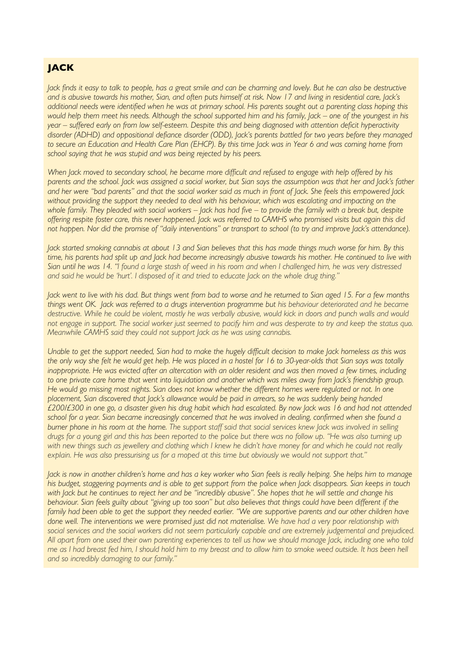#### **JACK**

*Jack finds it easy to talk to people, has a great smile and can be charming and lovely. But he can also be destructive and is abusive towards his mother, Sian, and often puts himself at risk. Now 17 and living in residential care, Jack's additional needs were identified when he was at primary school. His parents sought out a parenting class hoping this would help them meet his needs. Although the school supported him and his family, Jack – one of the youngest in his year – suffered early on from low self-esteem. Despite this and being diagnosed with attention deficit hyperactivity disorder (ADHD) and oppositional defiance disorder (ODD), Jack's parents battled for two years before they managed to secure an Education and Health Care Plan (EHCP). By this time Jack was in Year 6 and was coming home from school saying that he was stupid and was being rejected by his peers.*

*When Jack moved to secondary school, he became more difficult and refused to engage with help offered by his parents and the school. Jack was assigned a social worker, but Sian says the assumption was that her and Jack's father and her were "bad parents" and that the social worker said as much in front of Jack. She feels this empowered Jack* without providing the support they needed to deal with his behaviour, which was escalating and impacting on the *whole family. They pleaded with social workers – Jack has had five – to provide the family with a break but, despite offering respite foster care, this never happened. Jack was referred to CAMHS who promised visits but again this did not happen. Nor did the promise of "daily interventions" or transport to school (to try and improve Jack's attendance).* 

*Jack started smoking cannabis at about 13 and Sian believes that this has made things much worse for him. By this time, his parents had split up and Jack had become increasingly abusive towards his mother. He continued to live with Sian until he was 14. "I found a large stash of weed in his room and when I challenged him, he was very distressed and said he would be 'hurt'. I disposed of it and tried to educate Jack on the whole drug thing."* 

*Jack went to live with his dad. But things went from bad to worse and he returned to Sian aged 15. For a few months things went OK. Jack was referred to a drugs intervention programme but his behaviour deteriorated and he became destructive. While he could be violent, mostly he was verbally abusive, would kick in doors and punch walls and would not engage in support. The social worker just seemed to pacify him and was desperate to try and keep the status quo. Meanwhile CAMHS said they could not support Jack as he was using cannabis.* 

*Unable to get the support needed, Sian had to make the hugely difficult decision to make Jack homeless as this was the only way she felt he would get help. He was placed in a hostel for 16 to 30-year-olds that Sian says was totally inappropriate. He was evicted after an altercation with an older resident and was then moved a few times, including*  to one private care home that went into liquidation and another which was miles away from *Jack's friendship group*. *He would go missing most nights. Sian does not know whether the different homes were regulated or not. In one placement, Sian discovered that Jack's allowance would be paid in arrears, so he was suddenly being handed £200/£300 in one go, a disaster given his drug habit which had escalated. By now Jack was 16 and had not attended school for a year. Sian became increasingly concerned that he was involved in dealing, confirmed when she found a burner phone in his room at the home. The support staff said that social services knew Jack was involved in selling drugs for a young girl and this has been reported to the police but there was no follow up. "He was also turning up with new things such as jewellery and clothing which I knew he didn't have money for and which he could not really explain. He was also pressurising us for a moped at this time but obviously we would not support that."*

*Jack is now in another children's home and has a key worker who Sian feels is really helping. She helps him to manage his budget, staggering payments and is able to get support from the police when Jack disappears. Sian keeps in touch*  with Jack but he continues to reject her and be "incredibly abusive". She hopes that he will settle and change his *behaviour. Sian feels guilty about "giving up too soon" but also believes that things could have been different if the family had been able to get the support they needed earlier. "We are supportive parents and our other children have* done well. The interventions we were promised just did not materialise. We have had a very poor relationship with *social services and the social workers did not seem particularly capable and are extremely judgemental and prejudiced. All apart from one used their own parenting experiences to tell us how we should manage Jack, including one who told me as I had breast fed him, I should hold him to my breast and to allow him to smoke weed outside. It has been hell and so incredibly damaging to our family."*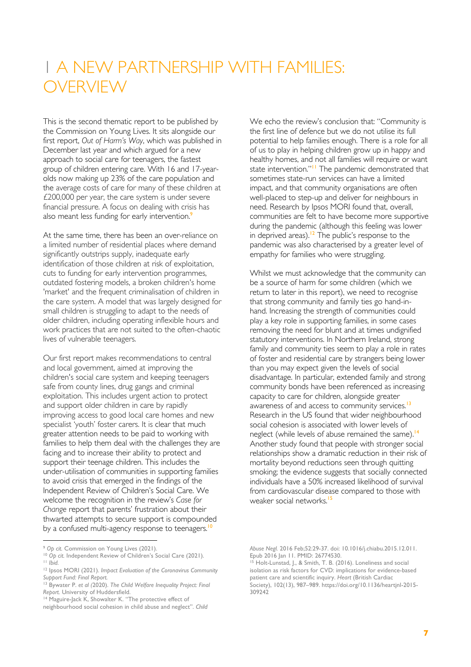# 1 A NEW PARTNERSHIP WITH FAMILIES: **OVERVIEW**

This is the second thematic report to be published by the Commission on Young Lives. It sits alongside our first report, *Out of Harm's Way*, which was published in December last year and which argued for a new approach to social care for teenagers, the fastest group of children entering care. With 16 and 17-yearolds now making up 23% of the care population and the average costs of care for many of these children at £200,000 per year, the care system is under severe financial pressure. A focus on dealing with crisis has also meant less funding for early intervention.<sup>9</sup>

At the same time, there has been an over-reliance on a limited number of residential places where demand significantly outstrips supply, inadequate early identification of those children at risk of exploitation, cuts to funding for early intervention programmes, outdated fostering models, a broken children's home 'market' and the frequent criminalisation of children in the care system. A model that was largely designed for small children is struggling to adapt to the needs of older children, including operating inflexible hours and work practices that are not suited to the often-chaotic lives of vulnerable teenagers.

Our first report makes recommendations to central and local government, aimed at improving the children's social care system and keeping teenagers safe from county lines, drug gangs and criminal exploitation. This includes urgent action to protect and support older children in care by rapidly improving access to good local care homes and new specialist 'youth' foster carers. It is clear that much greater attention needs to be paid to working with families to help them deal with the challenges they are facing and to increase their ability to protect and support their teenage children. This includes the under-utilisation of communities in supporting families to avoid crisis that emerged in the findings of the Independent Review of Children's Social Care. We welcome the recognition in the review's *Case for Change* report that parents' frustration about their thwarted attempts to secure support is compounded by a confused multi-agency response to teenagers.<sup>10</sup>

neighbourhood social cohesion in child abuse and neglect". *Child* 

We echo the review's conclusion that: "Community is the first line of defence but we do not utilise its full potential to help families enough. There is a role for all of us to play in helping children grow up in happy and healthy homes, and not all families will require or want state intervention."<sup>11</sup> The pandemic demonstrated that sometimes state-run services can have a limited impact, and that community organisations are often well-placed to step-up and deliver for neighbours in need. Research by Ipsos MORI found that, overall, communities are felt to have become more supportive during the pandemic (although this feeling was lower in deprived areas).<sup>12</sup> The public's response to the pandemic was also characterised by a greater level of empathy for families who were struggling.

Whilst we must acknowledge that the community can be a source of harm for some children (which we return to later in this report), we need to recognise that strong community and family ties go hand-inhand. Increasing the strength of communities could play a key role in supporting families, in some cases removing the need for blunt and at times undignified statutory interventions. In Northern Ireland, strong family and community ties seem to play a role in rates of foster and residential care by strangers being lower than you may expect given the levels of social disadvantage. In particular, extended family and strong community bonds have been referenced as increasing capacity to care for children, alongside greater awareness of and access to community services.<sup>13</sup> Research in the US found that wider neighbourhood social cohesion is associated with lower levels of neglect (while levels of abuse remained the same).<sup>14</sup> Another study found that people with stronger social relationships show a dramatic reduction in their risk of mortality beyond reductions seen through quitting smoking; the evidence suggests that socially connected individuals have a 50% increased likelihood of survival from cardiovascular disease compared to those with weaker social networks.<sup>15</sup>

<sup>9</sup> *Op cit.* Commission on Young Lives (2021).

<sup>10</sup> *Op cit.* Independent Review of Children's Social Care (2021). <sup>11</sup> *Ibid.*

<sup>12</sup> Ipsos MORI (2021). *Impact Evaluation of the Coronavirus Community Support Fund: Final Report.*

<sup>13</sup> Bywater P. *et al (*2020). *The Child Welfare Inequality Project: Final Report.* University of Huddersfield.

<sup>&</sup>lt;sup>14</sup> Maguire-Jack K, Showalter K. "The protective effect of

*Abuse Negl.* 2016 Feb;52:29-37. doi: 10.1016/j.chiabu.2015.12.011. Epub 2016 Jan 11. PMID: 26774530.

<sup>&</sup>lt;sup>15</sup> Holt-Lunstad, J., & Smith, T. B. (2016). Loneliness and social isolation as risk factors for CVD: implications for evidence-based patient care and scientific inquiry. *Heart* (British Cardiac Society), 102(13), 987–989. https://doi.org/10.1136/heartjnl-2015- 309242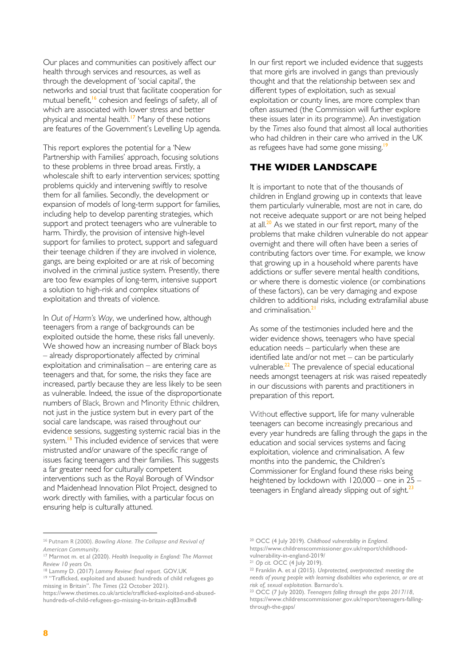Our places and communities can positively affect our health through services and resources, as well as through the development of 'social capital', the networks and social trust that facilitate cooperation for mutual benefit, <sup>16</sup> cohesion and feelings of safety, all of which are associated with lower stress and better physical and mental health.<sup>17</sup> Many of these notions are features of the Government's Levelling Up agenda.

This report explores the potential for a 'New Partnership with Families' approach, focusing solutions to these problems in three broad areas. Firstly, a wholescale shift to early intervention services; spotting problems quickly and intervening swiftly to resolve them for all families. Secondly, the development or expansion of models of long-term support for families, including help to develop parenting strategies, which support and protect teenagers who are vulnerable to harm. Thirdly, the provision of intensive high-level support for families to protect, support and safeguard their teenage children if they are involved in violence, gangs, are being exploited or are at risk of becoming involved in the criminal justice system. Presently, there are too few examples of long-term, intensive support a solution to high-risk and complex situations of exploitation and threats of violence.

In *Out of Harm's Way*, we underlined how, although teenagers from a range of backgrounds can be exploited outside the home, these risks fall unevenly. We showed how an increasing number of Black boys – already disproportionately affected by criminal exploitation and criminalisation – are entering care as teenagers and that, for some, the risks they face are increased, partly because they are less likely to be seen as vulnerable. Indeed, the issue of the disproportionate numbers of Black, Brown and Minority Ethnic children, not just in the justice system but in every part of the social care landscape, was raised throughout our evidence sessions, suggesting systemic racial bias in the system.<sup>18</sup> This included evidence of services that were mistrusted and/or unaware of the specific range of issues facing teenagers and their families. This suggests a far greater need for culturally competent interventions such as the Royal Borough of Windsor and Maidenhead Innovation Pilot Project, designed to work directly with families, with a particular focus on ensuring help is culturally attuned.

In our first report we included evidence that suggests that more girls are involved in gangs than previously thought and that the relationship between sex and different types of exploitation, such as sexual exploitation or county lines, are more complex than often assumed (the Commission will further explore these issues later in its programme). An investigation by the *Times* also found that almost all local authorities who had children in their care who arrived in the UK as refugees have had some gone missing.<sup>1</sup>

#### **THE WIDER LANDSCAPE**

It is important to note that of the thousands of children in England growing up in contexts that leave them particularly vulnerable, most are not in care, do not receive adequate support or are not being helped at all. $^{20}$  As we stated in our first report, many of the problems that make children vulnerable do not appear overnight and there will often have been a series of contributing factors over time. For example, we know that growing up in a household where parents have addictions or suffer severe mental health conditions, or where there is domestic violence (or combinations of these factors), can be very damaging and expose children to additional risks, including extrafamilial abuse and criminalisation.<sup>2</sup>

As some of the testimonies included here and the wider evidence shows, teenagers who have special education needs – particularly when these are identified late and/or not met – can be particularly vulnerable.<sup>22</sup> The prevalence of special educational needs amongst teenagers at risk was raised repeatedly in our discussions with parents and practitioners in preparation of this report.

Without effective support, life for many vulnerable teenagers can become increasingly precarious and every year hundreds are falling through the gaps in the education and social services systems and facing exploitation, violence and criminalisation. A few months into the pandemic, the Children's Commissioner for England found these risks being heightened by lockdown with 120,000 – one in 25 – teenagers in England already slipping out of sight.<sup>23</sup>

<sup>16</sup> Putnam R (2000). *Bowling Alone. The Collapse and Revival of American Community.*

<sup>17</sup> Marmot m. et al (2020). *Health Inequality in England: The Marmot Review 10 years On.*

<sup>18</sup> Lammy D. (2017) *Lammy Review: final report*. GOV.UK

<sup>19</sup> "Trafficked, exploited and abused: hundreds of child refugees go missing in Britain". *The Times* (22 October 2021).

https://www.thetimes.co.uk/article/trafficked-exploited-and-abusedhundreds-of-child-refugees-go-missing-in-britain-zq83mx8v8

<sup>20</sup> OCC (4 July 2019). *Childhood vulnerability in England*. https://www.childrenscommissioner.gov.uk/report/childhoodvulnerability-in-england-2019/

<sup>21</sup> *Op cit.* OCC (4 July 2019).

<sup>22</sup> Franklin A. et al (2015). *Unprotected, overprotected: meeting the needs of young people with learning disabilities who experience, or are at risk of, sexual exploitation.* Barnardo's.

<sup>23</sup> OCC (7 July 2020). *Teenagers falling through the gaps 2017/18*, https://www.childrenscommissioner.gov.uk/report/teenagers-fallingthrough-the-gaps/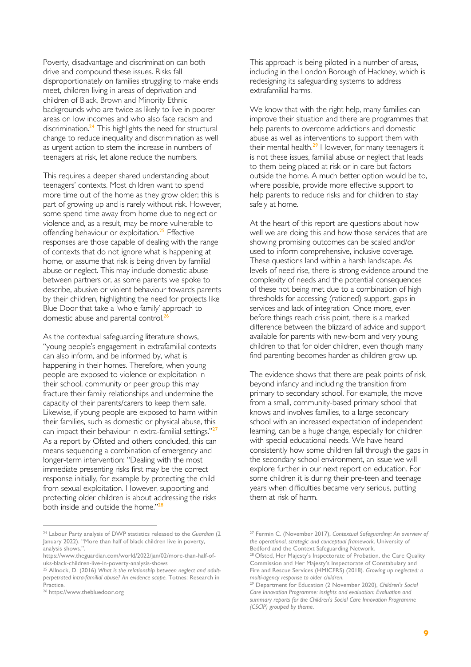Poverty, disadvantage and discrimination can both drive and compound these issues. Risks fall disproportionately on families struggling to make ends meet, children living in areas of deprivation and children of Black, Brown and Minority Ethnic backgrounds who are twice as likely to live in poorer areas on low incomes and who also face racism and discrimination.<sup>24</sup> This highlights the need for structural change to reduce inequality and discrimination as well as urgent action to stem the increase in numbers of teenagers at risk, let alone reduce the numbers.

This requires a deeper shared understanding about teenagers' contexts. Most children want to spend more time out of the home as they grow older; this is part of growing up and is rarely without risk. However, some spend time away from home due to neglect or violence and, as a result, may be more vulnerable to offending behaviour or exploitation.<sup>25</sup> Effective responses are those capable of dealing with the range of contexts that do not ignore what is happening at home, or assume that risk is being driven by familial abuse or neglect. This may include domestic abuse between partners or, as some parents we spoke to describe, abusive or violent behaviour towards parents by their children, highlighting the need for projects like Blue Door that take a 'whole family' approach to domestic abuse and parental control.<sup>26</sup>

As the contextual safeguarding literature shows, "young people's engagement in extrafamilial contexts can also inform, and be informed by, what is happening in their homes. Therefore, when young people are exposed to violence or exploitation in their school, community or peer group this may fracture their family relationships and undermine the capacity of their parents/carers to keep them safe. Likewise, if young people are exposed to harm within their families, such as domestic or physical abuse, this can impact their behaviour in extra-familial settings."<sup>27</sup> As a report by Ofsted and others concluded, this can means sequencing a combination of emergency and longer-term intervention: "Dealing with the most immediate presenting risks first may be the correct response initially, for example by protecting the child from sexual exploitation. However, supporting and protecting older children is about addressing the risks both inside and outside the home."<sup>28</sup>

This approach is being piloted in a number of areas, including in the London Borough of Hackney, which is redesigning its safeguarding systems to address extrafamilial harms.

We know that with the right help, many families can improve their situation and there are programmes that help parents to overcome addictions and domestic abuse as well as interventions to support them with their mental health.<sup>29</sup> However, for many teenagers it is not these issues, familial abuse or neglect that leads to them being placed at risk or in care but factors outside the home. A much better option would be to, where possible, provide more effective support to help parents to reduce risks and for children to stay safely at home.

At the heart of this report are questions about how well we are doing this and how those services that are showing promising outcomes can be scaled and/or used to inform comprehensive, inclusive coverage. These questions land within a harsh landscape. As levels of need rise, there is strong evidence around the complexity of needs and the potential consequences of these not being met due to a combination of high thresholds for accessing (rationed) support, gaps in services and lack of integration. Once more, even before things reach crisis point, there is a marked difference between the blizzard of advice and support available for parents with new-born and very young children to that for older children, even though many find parenting becomes harder as children grow up.

The evidence shows that there are peak points of risk, beyond infancy and including the transition from primary to secondary school. For example, the move from a small, community-based primary school that knows and involves families, to a large secondary school with an increased expectation of independent learning, can be a huge change, especially for children with special educational needs. We have heard consistently how some children fall through the gaps in the secondary school environment, an issue we will explore further in our next report on education. For some children it is during their pre-teen and teenage years when difficulties became very serious, putting them at risk of harm.

<sup>24</sup> Labour Party analysis of DWP statistics released to the *Guardian* (2 January 2022). "More than half of black children live in poverty, analysis shows.".

https://www.theguardian.com/world/2022/jan/02/more-than-half-ofuks-black-children-live-in-poverty-analysis-shows

<sup>25</sup> Allnock, D. (2016) *What is the relationship between neglect and adultperpetrated intra-familial abuse? An evidence scope.* Totnes: Research in .<br>Practice.

<sup>26</sup> https://www.thebluedoor.org

<sup>27</sup> Fermin C. (November 2017), *Contextual Safeguarding: An overview of the operational, strategic and conceptual framework.* University of Bedford and the Context Safeguarding Network.

<sup>&</sup>lt;sup>28</sup> Ofsted, Her Majesty's Inspectorate of Probation, the Care Quality Commission and Her Majesty's Inspectorate of Constabulary and Fire and Rescue Services (HMICFRS) (2018). *Growing up neglected: a multi-agency response to older children*.

<sup>29</sup> Department for Education (2 November 2020), *Children's Social Care Innovation Programme: insights and evaluation: Evaluation and summary reports for the Children's Social Care Innovation Programme (CSCIP) grouped by theme*.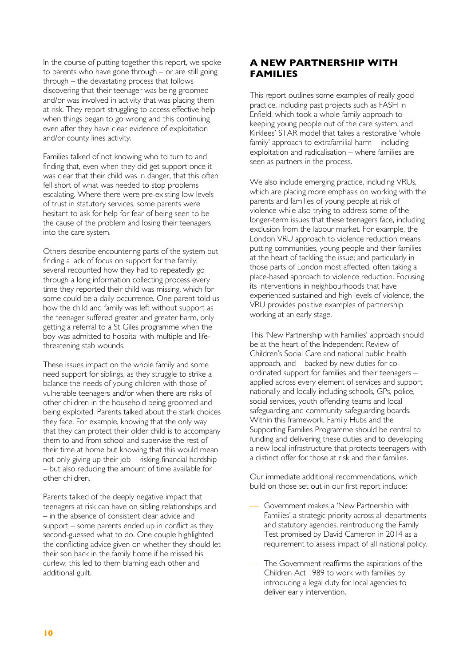In the course of putting together this report, we spoke to parents who have gone through – or are still going through – the devastating process that follows discovering that their teenager was being groomed and/or was involved in activity that was placing them at risk. They report struggling to access effective help when things began to go wrong and this continuing even after they have clear evidence of exploitation and/or county lines activity.

Families talked of not knowing who to turn to and finding that, even when they did get support once it was clear that their child was in danger, that this often fell short of what was needed to stop problems escalating. Where there were pre-existing low levels of trust in statutory services, some parents were hesitant to ask for help for fear of being seen to be the cause of the problem and losing their teenagers into the care system.

Others describe encountering parts of the system but finding a lack of focus on support for the family; several recounted how they had to repeatedly go through a long information collecting process every time they reported their child was missing, which for some could be a daily occurrence. One parent told us how the child and family was left without support as the teenager suffered greater and greater harm, only getting a referral to a St Giles programme when the boy was admitted to hospital with multiple and lifethreatening stab wounds.

These issues impact on the whole family and some need support for siblings, as they struggle to strike a balance the needs of young children with those of vulnerable teenagers and/or when there are risks of other children in the household being groomed and being exploited. Parents talked about the stark choices they face. For example, knowing that the only way that they can protect their older child is to accompany them to and from school and supervise the rest of their time at home but knowing that this would mean not only giving up their job – risking financial hardship – but also reducing the amount of time available for other children.

Parents talked of the deeply negative impact that teenagers at risk can have on sibling relationships and – in the absence of consistent clear advice and support – some parents ended up in conflict as they second-guessed what to do. One couple highlighted the conflicting advice given on whether they should let their son back in the family home if he missed his curfew; this led to them blaming each other and additional guilt.

#### **A NEW PARTNERSHIP WITH FAMILIES**

This report outlines some examples of really good practice, including past projects such as FASH in Enfield, which took a whole family approach to keeping young people out of the care system, and Kirklees' STAR model that takes a restorative 'whole family' approach to extrafamilial harm – including exploitation and radicalisation – where families are seen as partners in the process.

We also include emerging practice, including VRUs, which are placing more emphasis on working with the parents and families of young people at risk of violence while also trying to address some of the longer-term issues that these teenagers face, including exclusion from the labour market. For example, the London VRU approach to violence reduction means putting communities, young people and their families at the heart of tackling the issue; and particularly in those parts of London most affected, often taking a place-based approach to violence reduction. Focusing its interventions in neighbourhoods that have experienced sustained and high levels of violence, the VRU provides positive examples of partnership working at an early stage.

This 'New Partnership with Families' approach should be at the heart of the Independent Review of Children's Social Care and national public health approach, and – backed by new duties for coordinated support for families and their teenagers – applied across every element of services and support nationally and locally including schools, GPs, police, social services, youth offending teams and local safeguarding and community safeguarding boards. Within this framework, Family Hubs and the Supporting Families Programme should be central to funding and delivering these duties and to developing a new local infrastructure that protects teenagers with a distinct offer for those at risk and their families.

Our immediate additional recommendations, which build on those set out in our first report include:

- Government makes a 'New Partnership with Families' a strategic priority across all departments and statutory agencies, reintroducing the Family Test promised by David Cameron in 2014 as a requirement to assess impact of all national policy.
- The Government reaffirms the aspirations of the Children Act 1989 to work with families by introducing a legal duty for local agencies to deliver early intervention.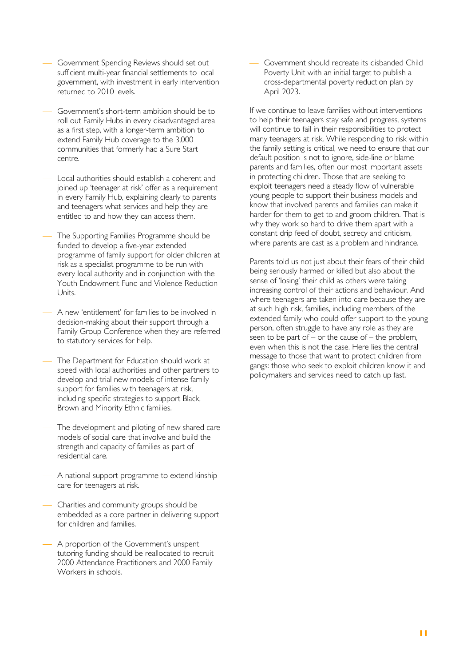- Government Spending Reviews should set out sufficient multi-year financial settlements to local government, with investment in early intervention returned to 2010 levels.
- Government's short-term ambition should be to roll out Family Hubs in every disadvantaged area as a first step, with a longer-term ambition to extend Family Hub coverage to the 3,000 communities that formerly had a Sure Start centre.
- Local authorities should establish a coherent and joined up 'teenager at risk' offer as a requirement in every Family Hub, explaining clearly to parents and teenagers what services and help they are entitled to and how they can access them.
- The Supporting Families Programme should be funded to develop a five-year extended programme of family support for older children at risk as a specialist programme to be run with every local authority and in conjunction with the Youth Endowment Fund and Violence Reduction Units.
- ¾ A new 'entitlement' for families to be involved in decision-making about their support through a Family Group Conference when they are referred to statutory services for help.
- The Department for Education should work at speed with local authorities and other partners to develop and trial new models of intense family support for families with teenagers at risk, including specific strategies to support Black, Brown and Minority Ethnic families.
- The development and piloting of new shared care models of social care that involve and build the strength and capacity of families as part of residential care.
- A national support programme to extend kinship care for teenagers at risk.
- Charities and community groups should be embedded as a core partner in delivering support for children and families.
- ¾ A proportion of the Government's unspent tutoring funding should be reallocated to recruit 2000 Attendance Practitioners and 2000 Family Workers in schools.

Government should recreate its disbanded Child Poverty Unit with an initial target to publish a cross-departmental poverty reduction plan by April 2023.

If we continue to leave families without interventions to help their teenagers stay safe and progress, systems will continue to fail in their responsibilities to protect many teenagers at risk. While responding to risk within the family setting is critical, we need to ensure that our default position is not to ignore, side-line or blame parents and families, often our most important assets in protecting children. Those that are seeking to exploit teenagers need a steady flow of vulnerable young people to support their business models and know that involved parents and families can make it harder for them to get to and groom children. That is why they work so hard to drive them apart with a constant drip feed of doubt, secrecy and criticism, where parents are cast as a problem and hindrance.

Parents told us not just about their fears of their child being seriously harmed or killed but also about the sense of 'losing' their child as others were taking increasing control of their actions and behaviour. And where teenagers are taken into care because they are at such high risk, families, including members of the extended family who could offer support to the young person, often struggle to have any role as they are seen to be part of – or the cause of – the problem, even when this is not the case. Here lies the central message to those that want to protect children from gangs: those who seek to exploit children know it and policymakers and services need to catch up fast.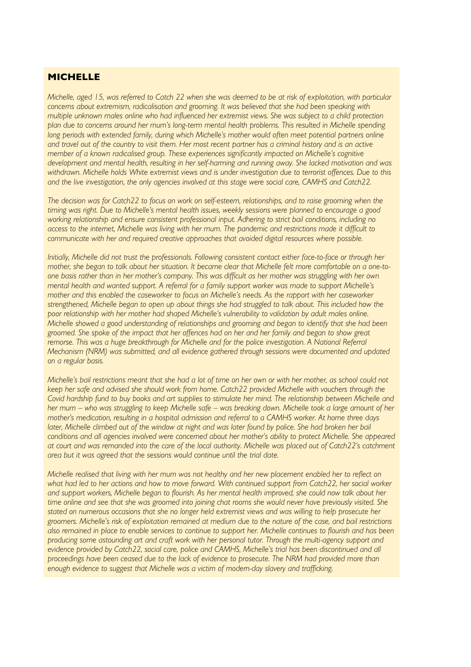#### **MICHELLE**

*Michelle, aged 15, was referred to Catch 22 when she was deemed to be at risk of exploitation, with particular concerns about extremism, radicalisation and grooming. It was believed that she had been speaking with multiple unknown males online who had influenced her extremist views. She was subject to a child protection plan due to concerns around her mum's long-term mental health problems. This resulted in Michelle spending long periods with extended family, during which Michelle's mother would often meet potential partners online* and travel out of the country to visit them. Her most recent partner has a criminal history and is an active *member of a known radicalised group. These experiences significantly impacted on Michelle's cognitive development and mental health, resulting in her self-harming and running away. She lacked motivation and was withdrawn. Michelle holds White extremist views and is under investigation due to terrorist offences. Due to this and the live investigation, the only agencies involved at this stage were social care, CAMHS and Catch22.* 

*The decision was for Catch22 to focus on work on self-esteem, relationships, and to raise grooming when the timing was right. Due to Michelle's mental health issues, weekly sessions were planned to encourage a good working relationship and ensure consistent professional input. Adhering to strict bail conditions, including no access to the internet, Michelle was living with her mum. The pandemic and restrictions made it difficult to communicate with her and required creative approaches that avoided digital resources where possible.* 

*Initially, Michelle did not trust the professionals. Following consistent contact either face-to-face or through her mother, she began to talk about her situation. It became clear that Michelle felt more comfortable on a one-toone basis rather than in her mother's company. This was difficult as her mother was struggling with her own mental health and wanted support. A referral for a family support worker was made to support Michelle's mother and this enabled the caseworker to focus on Michelle's needs. As the rapport with her caseworker strengthened, Michelle began to open up about things she had struggled to talk about. This included how the poor relationship with her mother had shaped Michelle's vulnerability to validation by adult males online. Michelle showed a good understanding of relationships and grooming and began to identify that she had been groomed. She spoke of the impact that her offences had on her and her family and began to show great remorse. This was a huge breakthrough for Michelle and for the police investigation. A National Referral Mechanism (NRM) was submitted, and all evidence gathered through sessions were documented and updated on a regular basis.* 

*Michelle's bail restrictions meant that she had a lot of time on her own or with her mother, as school could not keep her safe and advised she should work from home. Catch22 provided Michelle with vouchers through the Covid hardship fund to buy books and art supplies to stimulate her mind. The relationship between Michelle and her mum – who was struggling to keep Michelle safe – was breaking down. Michelle took a large amount of her mother's medication, resulting in a hospital admission and referral to a CAMHS worker. At home three days later, Michelle climbed out of the window at night and was later found by police. She had broken her bail conditions and all agencies involved were concerned about her mother's ability to protect Michelle. She appeared at court and was remanded into the care of the local authority. Michelle was placed out of Catch22's catchment area but it was agreed that the sessions would continue until the trial date.* 

*Michelle realised that living with her mum was not healthy and her new placement enabled her to reflect on what had led to her actions and how to move forward. With continued support from Catch22, her social worker and support workers, Michelle began to flourish. As her mental health improved, she could now talk about her time online and see that she was groomed into joining chat rooms she would never have previously visited. She stated on numerous occasions that she no longer held extremist views and was willing to help prosecute her groomers. Michelle's risk of exploitation remained at medium due to the nature of the case, and bail restrictions also remained in place to enable services to continue to support her. Michelle continues to flourish and has been producing some astounding art and craft work with her personal tutor. Through the multi-agency support and evidence provided by Catch22, social care, police and CAMHS, Michelle's trial has been discontinued and all proceedings have been ceased due to the lack of evidence to prosecute. The NRM had provided more than enough evidence to suggest that Michelle was a victim of modern-day slavery and trafficking.*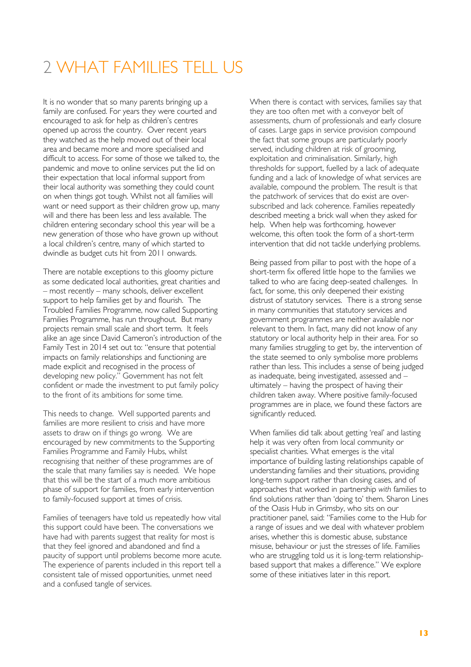# 2 WHAT FAMILIES TELL US

It is no wonder that so many parents bringing up a family are confused. For years they were courted and encouraged to ask for help as children's centres opened up across the country. Over recent years they watched as the help moved out of their local area and became more and more specialised and difficult to access. For some of those we talked to, the pandemic and move to online services put the lid on their expectation that local informal support from their local authority was something they could count on when things got tough. Whilst not all families will want or need support as their children grow up, many will and there has been less and less available. The children entering secondary school this year will be a new generation of those who have grown up without a local children's centre, many of which started to dwindle as budget cuts hit from 2011 onwards.

There are notable exceptions to this gloomy picture as some dedicated local authorities, great charities and – most recently – many schools, deliver excellent support to help families get by and flourish. The Troubled Families Programme, now called Supporting Families Programme, has run throughout. But many projects remain small scale and short term. It feels alike an age since David Cameron's introduction of the Family Test in 2014 set out to: "ensure that potential impacts on family relationships and functioning are made explicit and recognised in the process of developing new policy." Government has not felt confident or made the investment to put family policy to the front of its ambitions for some time.

This needs to change. Well supported parents and families are more resilient to crisis and have more assets to draw on if things go wrong. We are encouraged by new commitments to the Supporting Families Programme and Family Hubs, whilst recognising that neither of these programmes are of the scale that many families say is needed. We hope that this will be the start of a much more ambitious phase of support for families, from early intervention to family-focused support at times of crisis.

Families of teenagers have told us repeatedly how vital this support could have been. The conversations we have had with parents suggest that reality for most is that they feel ignored and abandoned and find a paucity of support until problems become more acute. The experience of parents included in this report tell a consistent tale of missed opportunities, unmet need and a confused tangle of services.

When there is contact with services, families say that they are too often met with a conveyor belt of assessments, churn of professionals and early closure of cases. Large gaps in service provision compound the fact that some groups are particularly poorly served, including children at risk of grooming, exploitation and criminalisation. Similarly, high thresholds for support, fuelled by a lack of adequate funding and a lack of knowledge of what services are available, compound the problem. The result is that the patchwork of services that do exist are oversubscribed and lack coherence. Families repeatedly described meeting a brick wall when they asked for help. When help was forthcoming, however welcome, this often took the form of a short-term intervention that did not tackle underlying problems.

Being passed from pillar to post with the hope of a short-term fix offered little hope to the families we talked to who are facing deep-seated challenges. In fact, for some, this only deepened their existing distrust of statutory services. There is a strong sense in many communities that statutory services and government programmes are neither available nor relevant to them. In fact, many did not know of any statutory or local authority help in their area. For so many families struggling to get by, the intervention of the state seemed to only symbolise more problems rather than less. This includes a sense of being judged as inadequate, being investigated, assessed and – ultimately – having the prospect of having their children taken away. Where positive family-focused programmes are in place, we found these factors are significantly reduced.

When families did talk about getting 'real' and lasting help it was very often from local community or specialist charities. What emerges is the vital importance of building lasting relationships capable of understanding families and their situations, providing long-term support rather than closing cases, and of approaches that worked in partnership *with* families to find solutions rather than 'doing to' them. Sharon Lines of the Oasis Hub in Grimsby, who sits on our practitioner panel, said: "Families come to the Hub for a range of issues and we deal with whatever problem arises, whether this is domestic abuse, substance misuse, behaviour or just the stresses of life. Families who are struggling told us it is long-term relationshipbased support that makes a difference." We explore some of these initiatives later in this report.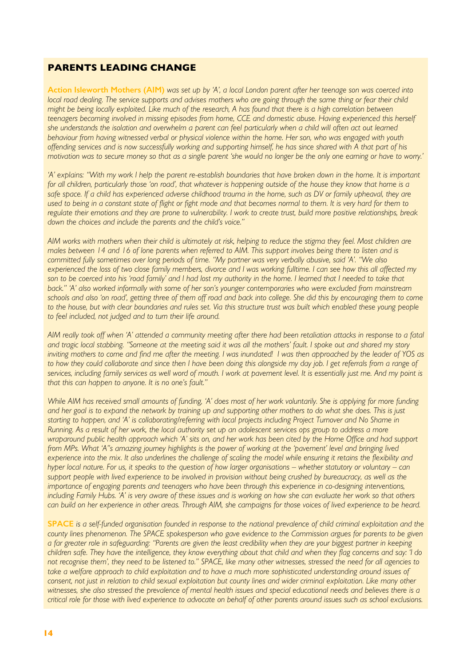#### **PARENTS LEADING CHANGE**

**Action Isleworth Mothers (AIM)** *was set up by 'A', a local London parent after her teenage son was coerced into local road dealing. The service supports and advises mothers who are going through the same thing or fear their child might be being locally exploited. Like much of the research, A has found that there is a high correlation between teenagers becoming involved in missing episodes from home, CCE and domestic abuse. Having experienced this herself she understands the isolation and overwhelm a parent can feel particularly when a child will often act out learned behaviour from having witnessed verbal or physical violence within the home. Her son, who was engaged with youth offending services and is now successfully working and supporting himself, he has since shared with A that part of his motivation was to secure money so that as a single parent 'she would no longer be the only one earning or have to worry.'* 

'A' explains: "With my work I help the parent re-establish boundaries that have broken down in the home. It is important *for all children, particularly those 'on road', that whatever is happening outside of the house they know that home is a*  safe space. If a child has experienced adverse childhood trauma in the home, such as DV or family upheaval, they are *used to being in a constant state of flight or fight mode and that becomes normal to them. It is very hard for them to regulate their emotions and they are prone to vulnerability. I work to create trust, build more positive relationships, break down the choices and include the parents and the child's voice."* 

*AIM works with mothers when their child is ultimately at risk, helping to reduce the stigma they feel. Most children are males between 14 and 16 of lone parents when referred to AIM. This support involves being there to listen and is committed fully sometimes over long periods of time. "My partner was very verbally abusive, said 'A'. "We also experienced the loss of two close family members, divorce and I was working fulltime. I can see how this all affected my*  son to be coerced into his 'road family' and I had lost my authority in the home. I learned that I needed to take that *back." 'A' also worked informally with some of her son's younger contemporaries who were excluded from mainstream schools and also 'on road', getting three of them off road and back into college. She did this by encouraging them to come*  to the house, but with clear boundaries and rules set. Via this structure trust was built which enabled these young people *to feel included, not judged and to turn their life around.*

*AIM really took off when 'A' attended a community meeting after there had been retaliation attacks in response to a fatal and tragic local stabbing. "Someone at the meeting said it was all the mothers' fault. I spoke out and shared my story inviting mothers to come and find me after the meeting. I was inundated! I was then approached by the leader of YOS as*  to how they could collaborate and since then I have been doing this alongside my day job. I get referrals from a range of *services, including family services as well word of mouth. I work at pavement level. It is essentially just me. And my point is that this can happen to anyone. It is no one's fault."* 

*While AIM has received small amounts of funding, 'A' does most of her work voluntarily. She is applying for more funding and her goal is to expand the network by training up and supporting other mothers to do what she does. This is just starting to happen, and 'A' is collaborating/referring with local projects including Project Turnover and No Shame in Running. As a result of her work, the local authority set up an adolescent services ops group to address a more wraparound public health approach which 'A' sits on, and her work has been cited by the Home Office and had support from MPs. What 'A"s amazing journey highlights is the power of working at the 'pavement' level and bringing lived experience into the mix. It also underlines the challenge of scaling the model while ensuring it retains the flexibility and hyper local nature. For us, it speaks to the question of how larger organisations – whether statutory or voluntary – can support people with lived experience to be involved in provision without being crushed by bureaucracy, as well as the importance of engaging parents and teenagers who have been through this experience in co-designing interventions, including Family Hubs. 'A' is very aware of these issues and is working on how she can evaluate her work so that others can build on her experience in other areas. Through AIM, she campaigns for those voices of lived experience to be heard.*

**SPACE** *is a self-funded organisation founded in response to the national prevalence of child criminal exploitation and the county lines phenomenon. The SPACE spokesperson who gave evidence to the Commission argues for parents to be given a far greater role in safeguarding: "Parents are given the least credibility when they are your biggest partner in keeping children safe. They have the intelligence, they know everything about that child and when they flag concerns and say: 'I do not recognise them', they need to be listened to." SPACE, like many other witnesses, stressed the need for all agencies to*  take a welfare approach to child exploitation and to have a much more sophisticated understanding around issues of *consent, not just in relation to child sexual exploitation but county lines and wider criminal exploitation. Like many other witnesses, she also stressed the prevalence of mental health issues and special educational needs and believes there is a critical role for those with lived experience to advocate on behalf of other parents around issues such as school exclusions.*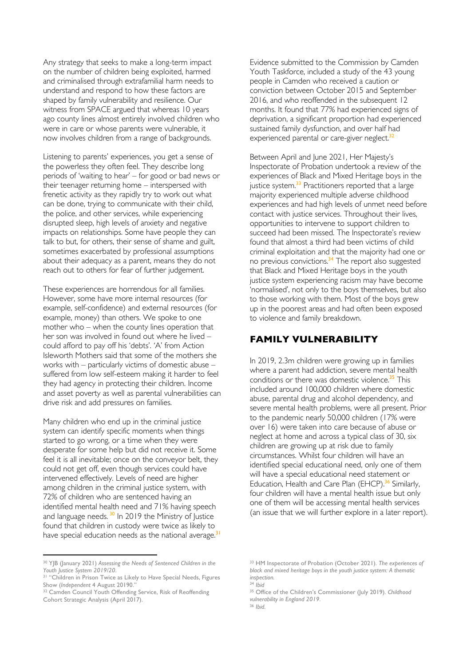Any strategy that seeks to make a long-term impact on the number of children being exploited, harmed and criminalised through extrafamilial harm needs to understand and respond to how these factors are shaped by family vulnerability and resilience. Our witness from SPACE argued that whereas 10 years ago county lines almost entirely involved children who were in care or whose parents were vulnerable, it now involves children from a range of backgrounds.

Listening to parents' experiences, you get a sense of the powerless they often feel. They describe long periods of 'waiting to hear' – for good or bad news or their teenager returning home – interspersed with frenetic activity as they rapidly try to work out what can be done, trying to communicate with their child, the police, and other services, while experiencing disrupted sleep, high levels of anxiety and negative impacts on relationships. Some have people they can talk to but, for others, their sense of shame and guilt, sometimes exacerbated by professional assumptions about their adequacy as a parent, means they do not reach out to others for fear of further judgement.

These experiences are horrendous for all families. However, some have more internal resources (for example, self-confidence) and external resources (for example, money) than others. We spoke to one mother who – when the county lines operation that her son was involved in found out where he lived – could afford to pay off his 'debts'. 'A' from Action Isleworth Mothers said that some of the mothers she works with – particularly victims of domestic abuse – suffered from low self-esteem making it harder to feel they had agency in protecting their children. Income and asset poverty as well as parental vulnerabilities can drive risk and add pressures on families.

Many children who end up in the criminal justice system can identify specific moments when things started to go wrong, or a time when they were desperate for some help but did not receive it. Some feel it is all inevitable; once on the conveyor belt, they could not get off, even though services could have intervened effectively. Levels of need are higher among children in the criminal justice system, with 72% of children who are sentenced having an identified mental health need and 71% having speech and language needs.<sup>30</sup> In 2019 the Ministry of Justice found that children in custody were twice as likely to have special education needs as the national average.<sup>31</sup>

<sup>30</sup> YJB (January 2021) *Assessing the Needs of Sentenced Children in the Youth Justice System 2019/20*.

Evidence submitted to the Commission by Camden Youth Taskforce, included a study of the 43 young people in Camden who received a caution or conviction between October 2015 and September 2016, and who reoffended in the subsequent 12 months. It found that 77% had experienced signs of deprivation, a significant proportion had experienced sustained family dysfunction, and over half had experienced parental or care-giver neglect.<sup>32</sup>

Between April and June 2021, Her Majesty's Inspectorate of Probation undertook a review of the experiences of Black and Mixed Heritage boys in the justice system.<sup>33</sup> Practitioners reported that a large majority experienced multiple adverse childhood experiences and had high levels of unmet need before contact with justice services. Throughout their lives, opportunities to intervene to support children to succeed had been missed. The Inspectorate's review found that almost a third had been victims of child criminal exploitation and that the majority had one or no previous convictions.<sup>34</sup> The report also suggested that Black and Mixed Heritage boys in the youth justice system experiencing racism may have become 'normalised', not only to the boys themselves, but also to those working with them. Most of the boys grew up in the poorest areas and had often been exposed to violence and family breakdown.

#### **FAMILY VULNERABILITY**

In 2019, 2.3m children were growing up in families where a parent had addiction, severe mental health conditions or there was domestic violence.<sup>35</sup> This included around 100,000 children where domestic abuse, parental drug and alcohol dependency, and severe mental health problems, were all present. Prior to the pandemic nearly 50,000 children (17% were over 16) were taken into care because of abuse or neglect at home and across a typical class of 30, six children are growing up at risk due to family circumstances. Whilst four children will have an identified special educational need, only one of them will have a special educational need statement or Education, Health and Care Plan (EHCP).<sup>36</sup> Similarly, four children will have a mental health issue but only one of them will be accessing mental health services (an issue that we will further explore in a later report).

<sup>&</sup>lt;sup>31</sup> "Children in Prison Twice as Likely to Have Special Needs, Figures Show (*Independent* 4 August 20190."

<sup>&</sup>lt;sup>32</sup> Camden Council Youth Offending Service, Risk of Reoffending Cohort Strategic Analysis (April 2017).

<sup>33</sup> HM Inspectorate of Probation (October 2021). *The experiences of black and mixed heritage boys in the youth justice system: A thematic inspection.*

<sup>34</sup> *Ibid*

<sup>35</sup> Office of the Children's Commissioner (July 2019). *Childhood vulnerability in England 2019*. <sup>36</sup> *Ibid.*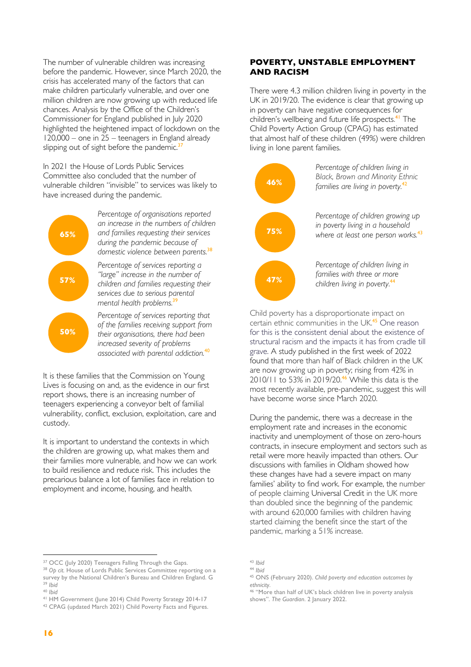The number of vulnerable children was increasing before the pandemic. However, since March 2020, the crisis has accelerated many of the factors that can make children particularly vulnerable, and over one million children are now growing up with reduced life chances. Analysis by the Office of the Children's Commissioner for England published in July 2020 highlighted the heightened impact of lockdown on the 120,000 – one in 25 – teenagers in England already slipping out of sight before the pandemic. $3$ 

In 2021 the House of Lords Public Services Committee also concluded that the number of vulnerable children "invisible" to services was likely to have increased during the pandemic.



It is these families that the Commission on Young Lives is focusing on and, as the evidence in our first report shows, there is an increasing number of teenagers experiencing a conveyor belt of familial vulnerability, conflict, exclusion, exploitation, care and custody.

It is important to understand the contexts in which the children are growing up, what makes them and their families more vulnerable, and how we can work to build resilience and reduce risk. This includes the precarious balance a lot of families face in relation to employment and income, housing, and health.

#### **POVERTY, UNSTABLE EMPLOYMENT AND RACISM**

There were 4.3 million children living in poverty in the UK in 2019/20. The evidence is clear that growing up in poverty can have negative consequences for children's wellbeing and future life prospects. <sup>41</sup> The Child Poverty Action Group (CPAG) has estimated that almost half of these children (49%) were children living in lone parent families.



Child poverty has a disproportionate impact on certain ethnic communities in the UK.<sup>45</sup> One reason for this is the consistent denial about the existence of structural racism and the impacts it has from cradle till grave. A study published in the first week of 2022 found that more than half of Black children in the UK are now growing up in poverty; rising from 42% in 2010/11 to 53% in 2019/20.<sup>46</sup> While this data is the most recently available, pre-pandemic, suggest this will have become worse since March 2020.

During the pandemic, there was a decrease in the employment rate and increases in the economic inactivity and unemployment of those on zero-hours contracts, in insecure employment and sectors such as retail were more heavily impacted than others. Our discussions with families in Oldham showed how these changes have had a severe impact on many families' ability to find work. For example, the number of people claiming Universal Credit in the UK more than doubled since the beginning of the pandemic with around 620,000 families with children having started claiming the benefit since the start of the pandemic, marking a 51% increase.

<sup>37</sup> OCC (July 2020) Teenagers Falling Through the Gaps.

<sup>38</sup> *Op cit.* House of Lords Public Services Committee reporting on a survey by the National Children's Bureau and Children England. G <sup>39</sup> *Ibid*

<sup>40</sup> *Ibid*

<sup>41</sup> HM Government (June 2014) Child Poverty Strategy 2014-17

<sup>42</sup> CPAG (updated March 2021) Child Poverty Facts and Figures.

<sup>44</sup> *Ibid*

<sup>45</sup> ONS (February 2020). *Child poverty and education outcomes by ethnicity*.

<sup>46</sup> "More than half of UK's black children live in poverty analysis shows". *The Guardian*. 2 January 2022.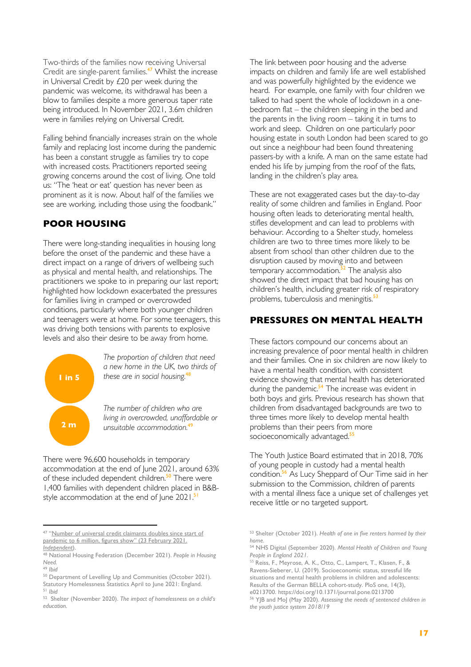Two-thirds of the families now receiving Universal Credit are single-parent families.<sup>47</sup> Whilst the increase in Universal Credit by £20 per week during the pandemic was welcome, its withdrawal has been a blow to families despite a more generous taper rate being introduced. In November 2021, 3.6m children were in families relying on Universal Credit.

Falling behind financially increases strain on the whole family and replacing lost income during the pandemic has been a constant struggle as families try to cope with increased costs. Practitioners reported seeing growing concerns around the cost of living. One told us: "The 'heat or eat' question has never been as prominent as it is now. About half of the families we see are working, including those using the foodbank."

#### **POOR HOUSING**

There were long-standing inequalities in housing long before the onset of the pandemic and these have a direct impact on a range of drivers of wellbeing such as physical and mental health, and relationships. The practitioners we spoke to in preparing our last report; highlighted how lockdown exacerbated the pressures for families living in cramped or overcrowded conditions, particularly where both younger children and teenagers were at home. For some teenagers, this was driving both tensions with parents to explosive levels and also their desire to be away from home.



*The proportion of children that need a new home in the UK, two thirds of these are in social housing.* 48

*The number of children who are living in overcrowded, unaffordable or unsuitable accommodation*.<sup>4</sup>

There were 96,600 households in temporary accommodation at the end of June 2021, around 63% of these included dependent children.<sup>50</sup> There were 1,400 families with dependent children placed in B&Bstyle accommodation at the end of June 2021.<sup>51</sup>

The link between poor housing and the adverse impacts on children and family life are well established and was powerfully highlighted by the evidence we heard. For example, one family with four children we talked to had spent the whole of lockdown in a onebedroom flat – the children sleeping in the bed and the parents in the living room – taking it in turns to work and sleep. Children on one particularly poor housing estate in south London had been scared to go out since a neighbour had been found threatening passers-by with a knife. A man on the same estate had ended his life by jumping from the roof of the flats, landing in the children's play area.

These are not exaggerated cases but the day-to-day reality of some children and families in England. Poor housing often leads to deteriorating mental health, stifles development and can lead to problems with behaviour. According to a Shelter study, homeless children are two to three times more likely to be absent from school than other children due to the disruption caused by moving into and between temporary accommodation.<sup>52</sup> The analysis also showed the direct impact that bad housing has on children's health, including greater risk of respiratory problems, tuberculosis and meningitis.<sup>53</sup>

#### **PRESSURES ON MENTAL HEALTH**

These factors compound our concerns about an increasing prevalence of poor mental health in children and their families. One in six children are now likely to have a mental health condition, with consistent evidence showing that mental health has deteriorated during the pandemic.<sup>54</sup> The increase was evident in both boys and girls. Previous research has shown that children from disadvantaged backgrounds are two to three times more likely to develop mental health problems than their peers from more socioeconomically advantaged.<sup>55</sup>

The Youth Justice Board estimated that in 2018, 70% of young people in custody had a mental health condition.<sup>56</sup> As Lucy Sheppard of Our Time said in her submission to the Commission, children of parents with a mental illness face a unique set of challenges yet receive little or no targeted support.

<sup>47 &</sup>quot;Number of universal credit claimants doubles since start of pandemic to 6 million, figures show" (23 February 2021. *Independent*).

<sup>48</sup> National Housing Federation (December 2021). *People in Housing Need.*

<sup>49</sup> *Ibid*

<sup>50</sup> Department of Levelling Up and Communities (October 2021). Statutory Homelessness Statistics April to June 2021: England. <sup>51</sup> *Ibid*

<sup>52</sup> Shelter (November 2020). *The impact of homelessness on a child's education.*

<sup>53</sup> Shelter (October 2021). *Health of one in five renters harmed by their home.*

<sup>54</sup> NHS Digital (September 2020). *Mental Health of Children and Young People in England 2021.*

<sup>55</sup> Reiss, F., Meyrose, A. K., Otto, C., Lampert, T., Klasen, F., & Ravens-Sieberer, U. (2019). Socioeconomic status, stressful life situations and mental health problems in children and adolescents: Results of the German BELLA cohort-study. PloS one, 14(3), e0213700. https://doi.org/10.1371/journal.pone.0213700

<sup>56</sup> YJB and MoJ (May 2020). *Assessing the needs of sentenced children in the youth justice system 2018/19*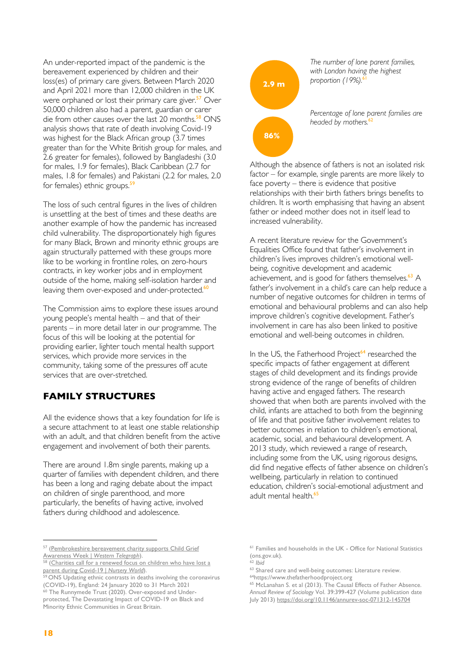An under-reported impact of the pandemic is the bereavement experienced by children and their loss(es) of primary care givers. Between March 2020 and April 2021 more than 12,000 children in the UK were orphaned or lost their primary care giver.<sup>57</sup> Over 50,000 children also had a parent, guardian or carer die from other causes over the last 20 months.<sup>58</sup> ONS analysis shows that rate of death involving Covid-19 was highest for the Black African group (3.7 times greater than for the White British group for males, and 2.6 greater for females), followed by Bangladeshi (3.0 for males, 1.9 for females), Black Caribbean (2.7 for males, 1.8 for females) and Pakistani (2.2 for males, 2.0 for females) ethnic groups.<sup>59</sup>

The loss of such central figures in the lives of children is unsettling at the best of times and these deaths are another example of how the pandemic has increased child vulnerability. The disproportionately high figures for many Black, Brown and minority ethnic groups are again structurally patterned with these groups more like to be working in frontline roles, on zero-hours contracts, in key worker jobs and in employment outside of the home, making self-isolation harder and leaving them over-exposed and under-protected.<sup>60</sup>

The Commission aims to explore these issues around young people's mental health – and that of their parents – in more detail later in our programme. The focus of this will be looking at the potential for providing earlier, lighter touch mental health support services, which provide more services in the community, taking some of the pressures off acute services that are over-stretched.

#### **FAMILY STRUCTURES**

All the evidence shows that a key foundation for life is a secure attachment to at least one stable relationship with an adult, and that children benefit from the active engagement and involvement of both their parents.

There are around 1.8m single parents, making up a quarter of families with dependent children, and there has been a long and raging debate about the impact on children of single parenthood, and more particularly, the benefits of having active, involved fathers during childhood and adolescence.



*The number of lone parent families, with London having the highest proportion (19%).*<sup>6</sup>

*Percentage of lone parent families are*  headed by mothers.<sup>62</sup>

Although the absence of fathers is not an isolated risk factor – for example, single parents are more likely to face poverty – there is evidence that positive relationships with their birth fathers brings benefits to children. It is worth emphasising that having an absent father or indeed mother does not in itself lead to increased vulnerability.

A recent literature review for the Government's Equalities Office found that father's involvement in children's lives improves children's emotional wellbeing, cognitive development and academic achievement, and is good for fathers themselves.<sup>63</sup> A father's involvement in a child's care can help reduce a number of negative outcomes for children in terms of emotional and behavioural problems and can also help improve children's cognitive development. Father's involvement in care has also been linked to positive emotional and well-being outcomes in children.

In the US, the Fatherhood Project<sup>64</sup> researched the specific impacts of father engagement at different stages of child development and its findings provide strong evidence of the range of benefits of children having active and engaged fathers. The research showed that when both are parents involved with the child, infants are attached to both from the beginning of life and that positive father involvement relates to better outcomes in relation to children's emotional, academic, social, and behavioural development. A 2013 study, which reviewed a range of research, including some from the UK, using rigorous designs, did find negative effects of father absence on children's wellbeing, particularly in relation to continued education, children's social-emotional adjustment and adult mental health.<sup>65</sup>

<sup>57 (</sup>Pembrokeshire bereavement charity supports Child Grief Awareness Week | *Western Telegraph*).

<sup>(</sup>Charities call for a renewed focus on children who have lost a parent during Covid-19 | *Nursery World*).

<sup>&</sup>lt;sup>59</sup> ONS Updating ethnic contrasts in deaths involving the coronavirus (COVID-19), England: 24 January 2020 to 31 March 2021

<sup>&</sup>lt;sup>60</sup> The Runnymede Trust (2020). Over-exposed and Underprotected, The Devastating Impact of COVID-19 on Black and Minority Ethnic Communities in Great Britain.

<sup>61</sup> Families and households in the UK - Office for National Statistics (ons.gov.uk).

<sup>62</sup> *Ibid*

<sup>63</sup> Shared care and well-being outcomes: Literature review.

<sup>64</sup>https://www.thefatherhoodproject.org

<sup>&</sup>lt;sup>65</sup> McLanahan S. et al (2013). The Causal Effects of Father Absence. *Annual Review of Sociology* Vol. 39:399-427 (Volume publication date July 2013) https://doi.org/10.1146/annurev-soc-071312-145704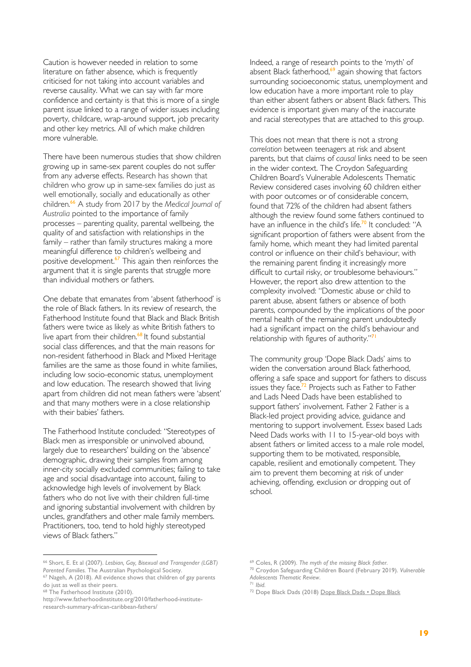Caution is however needed in relation to some literature on father absence, which is frequently criticised for not taking into account variables and reverse causality. What we can say with far more confidence and certainty is that this is more of a single parent issue linked to a range of wider issues including poverty, childcare, wrap-around support, job precarity and other key metrics. All of which make children more vulnerable.

There have been numerous studies that show children growing up in same-sex parent couples do not suffer from any adverse effects. Research has shown that children who grow up in same-sex families do just as well emotionally, socially and educationally as other children. <sup>66</sup> A study from 2017 by the *Medical Journal of Australia* pointed to the importance of family processes – parenting quality, parental wellbeing, the quality of and satisfaction with relationships in the family – rather than family structures making a more meaningful difference to children's wellbeing and positive development.<sup>67</sup> This again then reinforces the argument that it is single parents that struggle more than individual mothers or fathers.

One debate that emanates from 'absent fatherhood' is the role of Black fathers. In its review of research, the Fatherhood Institute found that Black and Black British fathers were twice as likely as white British fathers to live apart from their children.<sup>68</sup> It found substantial social class differences, and that the main reasons for non-resident fatherhood in Black and Mixed Heritage families are the same as those found in white families, including low socio-economic status, unemployment and low education. The research showed that living apart from children did not mean fathers were 'absent' and that many mothers were in a close relationship with their babies' fathers.

The Fatherhood Institute concluded: "Stereotypes of Black men as irresponsible or uninvolved abound, largely due to researchers' building on the 'absence' demographic, drawing their samples from among inner-city socially excluded communities; failing to take age and social disadvantage into account, failing to acknowledge high levels of involvement by Black fathers who do not live with their children full-time and ignoring substantial involvement with children by uncles, grandfathers and other male family members. Practitioners, too, tend to hold highly stereotyped views of Black fathers."

<sup>66</sup> Short, E. Et al (2007). *Lesbian, Gay, Bisexual and Transgender (LGBT) Parented Families.* The Australian Psychological Society.

Indeed, a range of research points to the 'myth' of absent Black fatherhood,<sup>69</sup> again showing that factors surrounding socioeconomic status, unemployment and low education have a more important role to play than either absent fathers or absent Black fathers. This evidence is important given many of the inaccurate and racial stereotypes that are attached to this group.

This does not mean that there is not a strong *correlation* between teenagers at risk and absent parents, but that claims of *causal* links need to be seen in the wider context. The Croydon Safeguarding Children Board's Vulnerable Adolescents Thematic Review considered cases involving 60 children either with poor outcomes or of considerable concern, found that 72% of the children had absent fathers although the review found some fathers continued to have an influence in the child's life.<sup>70</sup> It concluded: "A significant proportion of fathers were absent from the family home, which meant they had limited parental control or influence on their child's behaviour, with the remaining parent finding it increasingly more difficult to curtail risky, or troublesome behaviours." However, the report also drew attention to the complexity involved: "Domestic abuse or child to parent abuse, absent fathers or absence of both parents, compounded by the implications of the poor mental health of the remaining parent undoubtedly had a significant impact on the child's behaviour and relationship with figures of authority."<sup>71</sup>

The community group 'Dope Black Dads' aims to widen the conversation around Black fatherhood, offering a safe space and support for fathers to discuss issues they face.<sup>72</sup> Projects such as Father to Father and Lads Need Dads have been established to support fathers' involvement. Father 2 Father is a Black-led project providing advice, guidance and mentoring to support involvement. Essex based Lads Need Dads works with 11 to 15-year-old boys with absent fathers or limited access to a male role model, supporting them to be motivated, responsible, capable, resilient and emotionally competent. They aim to prevent them becoming at risk of under achieving, offending, exclusion or dropping out of school.

<sup>67</sup> Nageh, A (2018). All evidence shows that children of gay parents do just as well as their peers.

<sup>&</sup>lt;sup>68</sup> The Fatherhood Institute (2010).

http://www.fatherhoodinstitute.org/2010/fatherhood-instituteresearch-summary-african-caribbean-fathers/

<sup>69</sup> Coles, R (2009). *The myth of the missing Black father.*

<sup>70</sup> Croydon Safeguarding Children Board (February 2019). *Vulnerable Adolescents Thematic Review*.

<sup>71</sup> *Ibid.*

<sup>72</sup> Dope Black Dads (2018) Dope Black Dads • Dope Black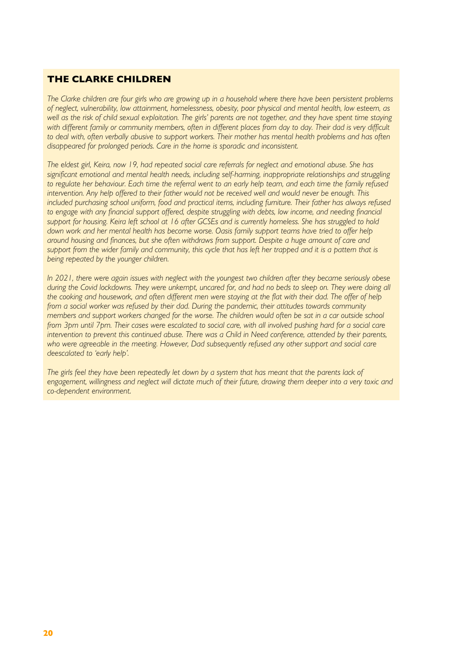#### **THE CLARKE CHILDREN**

*The Clarke children are four girls who are growing up in a household where there have been persistent problems of neglect, vulnerability, low attainment, homelessness, obesity, poor physical and mental health, low esteem, as well as the risk of child sexual exploitation. The girls' parents are not together, and they have spent time staying*  with different family or community members, often in different places from day to day. Their dad is very difficult *to deal with, often verbally abusive to support workers. Their mother has mental health problems and has often disappeared for prolonged periods. Care in the home is sporadic and inconsistent.*

*The eldest girl, Keira, now 19, had repeated social care referrals for neglect and emotional abuse. She has*  significant emotional and mental health needs, including self-harming, inappropriate relationships and struggling to regulate her behaviour. Each time the referral went to an early help team, and each time the family refused *intervention. Any help offered to their father would not be received well and would never be enough. This*  included purchasing school uniform, food and practical items, including furniture. Their father has always refused to engage with any financial support offered, despite struggling with debts, low income, and needing financial *support for housing. Keira left school at 16 after GCSEs and is currently homeless. She has struggled to hold*  down work and her mental health has become worse. Oasis family support teams have tried to offer help *around housing and finances, but she often withdraws from support. Despite a huge amount of care and*  support from the wider family and community, this cycle that has left her trapped and it is a pattern that is *being repeated by the younger children.* 

*In 2021, there were again issues with neglect with the youngest two children after they became seriously obese during the Covid lockdowns. They were unkempt, uncared for, and had no beds to sleep on. They were doing all the cooking and housework, and often different men were staying at the flat with their dad. The offer of help from a social worker was refused by their dad. During the pandemic, their attitudes towards community members and support workers changed for the worse. The children would often be sat in a car outside school from 3pm until 7pm. Their cases were escalated to social care, with all involved pushing hard for a social care* intervention to prevent this continued abuse. There was a Child in Need conference, attended by their parents, *who were agreeable in the meeting. However, Dad subsequently refused any other support and social care deescalated to 'early help'.* 

*The girls feel they have been repeatedly let down by a system that has meant that the parents lack of*  engagement, willingness and neglect will dictate much of their future, drawing them deeper into a very toxic and *co-dependent environment*.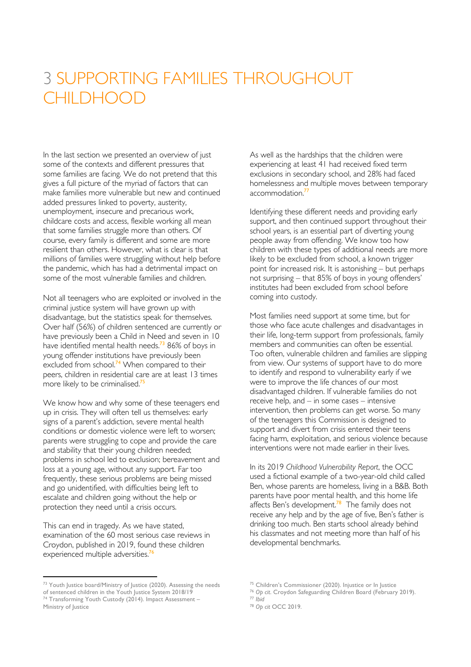# 3 SUPPORTING FAMILIES THROUGHOUT **CHILDHOOD**

In the last section we presented an overview of just some of the contexts and different pressures that some families are facing. We do not pretend that this gives a full picture of the myriad of factors that can make families more vulnerable but new and continued added pressures linked to poverty, austerity, unemployment, insecure and precarious work, childcare costs and access, flexible working all mean that some families struggle more than others. Of course, every family is different and some are more resilient than others. However, what is clear is that millions of families were struggling without help before the pandemic, which has had a detrimental impact on some of the most vulnerable families and children.

Not all teenagers who are exploited or involved in the criminal justice system will have grown up with disadvantage, but the statistics speak for themselves. Over half (56%) of children sentenced are currently or have previously been a Child in Need and seven in 10 have identified mental health needs.<sup>73</sup> 86% of boys in young offender institutions have previously been excluded from school.<sup>74</sup> When compared to their peers, children in residential care are at least 13 times .<br>more likely to be criminalised.<sup>75</sup>

We know how and why some of these teenagers end up in crisis. They will often tell us themselves: early signs of a parent's addiction, severe mental health conditions or domestic violence were left to worsen; parents were struggling to cope and provide the care and stability that their young children needed; problems in school led to exclusion; bereavement and loss at a young age, without any support. Far too frequently, these serious problems are being missed and go unidentified, with difficulties being left to escalate and children going without the help or protection they need until a crisis occurs.

This can end in tragedy. As we have stated, examination of the 60 most serious case reviews in Croydon, published in 2019, found these children experienced multiple adversities.<sup>76</sup>

<sup>73</sup> Youth Justice board/Ministry of Justice (2020). Assessing the needs

As well as the hardships that the children were experiencing at least 41 had received fixed term exclusions in secondary school, and 28% had faced homelessness and multiple moves between temporary accommodation.<sup>77</sup>

Identifying these different needs and providing early support, and then continued support throughout their school years, is an essential part of diverting young people away from offending. We know too how children with these types of additional needs are more likely to be excluded from school, a known trigger point for increased risk. It is astonishing – but perhaps not surprising – that 85% of boys in young offenders' institutes had been excluded from school before coming into custody.

Most families need support at some time, but for those who face acute challenges and disadvantages in their life, long-term support from professionals, family members and communities can often be essential. Too often, vulnerable children and families are slipping from view. Our systems of support have to do more to identify and respond to vulnerability early if we were to improve the life chances of our most disadvantaged children. If vulnerable families do not receive help, and – in some cases – intensive intervention, then problems can get worse. So many of the teenagers this Commission is designed to support and divert from crisis entered their teens facing harm, exploitation, and serious violence because interventions were not made earlier in their lives.

In its 2019 *Childhood Vulnerability Report*, the OCC used a fictional example of a two-year-old child called Ben, whose parents are homeless, living in a B&B. Both parents have poor mental health, and this home life affects Ben's development. $78$  The family does not receive any help and by the age of five, Ben's father is drinking too much. Ben starts school already behind his classmates and not meeting more than half of his developmental benchmarks.

of sentenced children in the Youth Justice System 2018/19<br><sup>74</sup> Transforming Youth Custody (2014). Impact Assessment – Ministry of Justice

<sup>75</sup> Children's Commissioner (2020). Injustice or In Justice

<sup>76</sup> *Op cit*. Croydon Safeguarding Children Board (February 2019).

<sup>77</sup> *Ibid* <sup>78</sup> *Op cit* OCC 2019.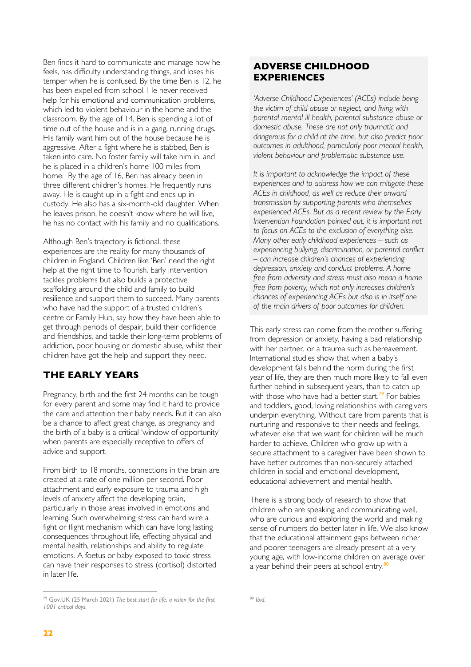Ben finds it hard to communicate and manage how he feels, has difficulty understanding things, and loses his temper when he is confused. By the time Ben is 12, he has been expelled from school. He never received help for his emotional and communication problems, which led to violent behaviour in the home and the classroom. By the age of 14, Ben is spending a lot of time out of the house and is in a gang, running drugs. His family want him out of the house because he is aggressive. After a fight where he is stabbed, Ben is taken into care. No foster family will take him in, and he is placed in a children's home 100 miles from home. By the age of 16, Ben has already been in three different children's homes. He frequently runs away. He is caught up in a fight and ends up in custody. He also has a six-month-old daughter. When he leaves prison, he doesn't know where he will live, he has no contact with his family and no qualifications.

Although Ben's trajectory is fictional, these experiences are the reality for many thousands of children in England. Children like 'Ben' need the right help at the right time to flourish. Early intervention tackles problems but also builds a protective scaffolding around the child and family to build resilience and support them to succeed. Many parents who have had the support of a trusted children's centre or Family Hub, say how they have been able to get through periods of despair, build their confidence and friendships, and tackle their long-term problems of addiction, poor housing or domestic abuse, whilst their children have got the help and support they need.

#### **THE EARLY YEARS**

Pregnancy, birth and the first 24 months can be tough for every parent and some may find it hard to provide the care and attention their baby needs. But it can also be a chance to affect great change, as pregnancy and the birth of a baby is a critical 'window of opportunity' when parents are especially receptive to offers of advice and support.

From birth to 18 months, connections in the brain are created at a rate of one million per second. Poor attachment and early exposure to trauma and high levels of anxiety affect the developing brain, particularly in those areas involved in emotions and learning. Such overwhelming stress can hard wire a fight or flight mechanism which can have long lasting consequences throughout life, effecting physical and mental health, relationships and ability to regulate emotions. A foetus or baby exposed to toxic stress can have their responses to stress (cortisol) distorted in later life.

#### **ADVERSE CHILDHOOD EXPERIENCES**

*'Adverse Childhood Experiences' (ACEs) include being the victim of child abuse or neglect, and living with parental mental ill health, parental substance abuse or domestic abuse. These are not only traumatic and dangerous for a child at the time, but also predict poor outcomes in adulthood, particularly poor mental health, violent behaviour and problematic substance use.* 

*It is important to acknowledge the impact of these experiences and to address how we can mitigate these ACEs in childhood, as well as reduce their onward transmission by supporting parents who themselves experienced ACEs. But as a recent review by the Early Intervention Foundation pointed out, it is important not to focus on ACEs to the exclusion of everything else. Many other early childhood experiences – such as experiencing bullying, discrimination, or parental conflict – can increase children's chances of experiencing depression, anxiety and conduct problems. A home free from adversity and stress must also mean a home free from poverty, which not only increases children's chances of experiencing ACEs but also is in itself one of the main drivers of poor outcomes for children.*

This early stress can come from the mother suffering from depression or anxiety, having a bad relationship with her partner, or a trauma such as bereavement. International studies show that when a baby's development falls behind the norm during the first year of life, they are then much more likely to fall even further behind in subsequent years, than to catch up with those who have had a better start.<sup>79</sup> For babies and toddlers, good, loving relationships with caregivers underpin everything. Without care from parents that is nurturing and responsive to their needs and feelings, whatever else that we want for children will be much harder to achieve. Children who grow up with a secure attachment to a caregiver have been shown to have better outcomes than non-securely attached children in social and emotional development, educational achievement and mental health.

There is a strong body of research to show that children who are speaking and communicating well, who are curious and exploring the world and making sense of numbers do better later in life. We also know that the educational attainment gaps between richer and poorer teenagers are already present at a very young age, with low-income children on average over  $a$  year behind their peers at school entry.<sup>80</sup>

<sup>79</sup> Gov.UK (25 March 2021) *The best start for life: a vision for the first 1001 critical days.*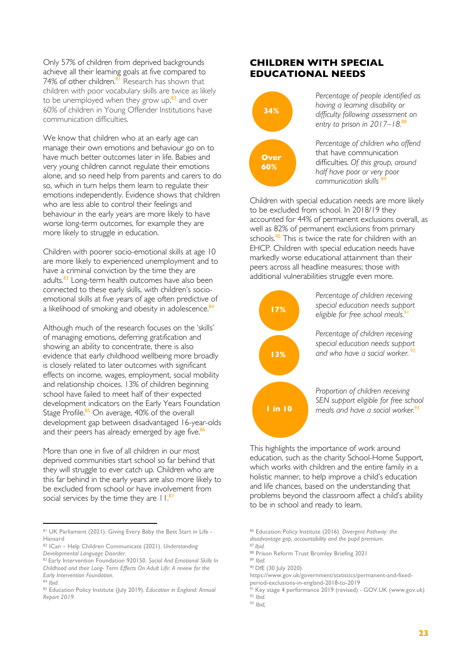Only 57% of children from deprived backgrounds achieve all their learning goals at five compared to 74% of other children.<sup>81</sup> Research has shown that children with poor vocabulary skills are twice as likely to be unemployed when they grow up,<sup>82</sup> and over 60% of children in Young Offender Institutions have communication difficulties.

We know that children who at an early age can manage their own emotions and behaviour go on to have much better outcomes later in life. Babies and very young children cannot regulate their emotions alone, and so need help from parents and carers to do so, which in turn helps them learn to regulate their emotions independently. Evidence shows that children who are less able to control their feelings and behaviour in the early years are more likely to have worse long-term outcomes, for example they are more likely to struggle in education.

Children with poorer socio-emotional skills at age 10 are more likely to experienced unemployment and to have a criminal conviction by the time they are adults.<sup>83</sup> Long-term health outcomes have also been connected to these early skills, with children's socioemotional skills at five years of age often predictive of a likelihood of smoking and obesity in adolescence.<sup>84</sup>

Although much of the research focuses on the 'skills' of managing emotions, deferring gratification and showing an ability to concentrate, there is also evidence that early childhood wellbeing more broadly is closely related to later outcomes with significant effects on income, wages, employment, social mobility and relationship choices. 13% of children beginning school have failed to meet half of their expected development indicators on the Early Years Foundation Stage Profile.<sup>85</sup> On average, 40% of the overall development gap between disadvantaged 16-year-olds and their peers has already emerged by age five.<sup>86</sup>

More than one in five of all children in our most deprived communities start school so far behind that they will struggle to ever catch up. Children who are this far behind in the early years are also more likely to be excluded from school or have involvement from social services by the time they are  $11<sup>87</sup>$ 

#### **CHILDREN WITH SPECIAL EDUCATIONAL NEEDS**



*Percentage of people identified as having a learning disability or difficulty following assessment on entry to prison in 2017–18.*<sup>88</sup>

*Percentage of children who offend*  that have communication difficulties. *Of this group, around half have poor or very poor communication skills* 

Children with special education needs are more likely to be excluded from school. In 2018/19 they accounted for 44% of permanent exclusions overall, as well as 82% of permanent exclusions from primary schools.<sup>90</sup> This is twice the rate for children with an EHCP. Children with special education needs have markedly worse educational attainment than their peers across all headline measures; those with additional vulnerabilities struggle even more.



This highlights the importance of work around education, such as the charity School-Home Support, which works with children and the entire family in a holistic manner, to help improve a child's education and life chances, based on the understanding that problems beyond the classroom affect a child's ability to be in school and ready to learn.

<sup>81</sup> UK Parliament (2021). Giving Every Baby the Best Start in Life -Hansard

<sup>82</sup> ICan – Help Children Communicate (2021). *Understanding Developmental Language Disorder*.

<sup>83</sup> Early Intervention Foundation 920150. *Social And Emotional Skills In Childhood and their Long- Term Effects On Adult Life: A review for the Early Intervention Foundation.*

<sup>84</sup> *Ibid*.

<sup>85</sup> Education Policy Institute (July 2019). *Education in England: Annual Report 2019.*

<sup>86</sup> Education Policy Institute (2016). *Divergent Pathway: the disadvantage gap, accountability and the pupil premium*.

<sup>87</sup> *Ibid.*

<sup>88</sup> Prison Reform Trust Bromley Briefing 2021

<sup>89</sup> *Ibid.*

<sup>90</sup> DfE (30 July 2020)

https://www.gov.uk/government/statistics/permanent-and-fixed-

period-exclusions-in-england-2018-to-2019 <sup>91</sup> Key stage 4 performance 2019 (revised) - GOV.UK (www.gov.uk) <sup>92</sup> *Ibid.*

<sup>93</sup> *Ibid,*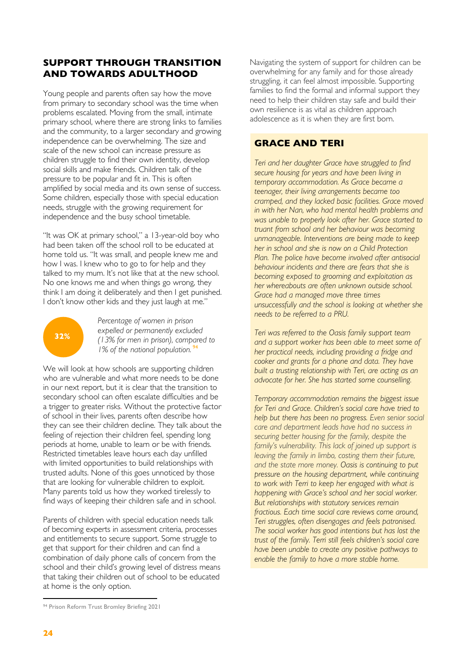#### **SUPPORT THROUGH TRANSITION AND TOWARDS ADULTHOOD**

Young people and parents often say how the move from primary to secondary school was the time when problems escalated. Moving from the small, intimate primary school, where there are strong links to families and the community, to a larger secondary and growing independence can be overwhelming. The size and scale of the new school can increase pressure as children struggle to find their own identity, develop social skills and make friends. Children talk of the pressure to be popular and fit in. This is often amplified by social media and its own sense of success. Some children, especially those with special education needs, struggle with the growing requirement for independence and the busy school timetable.

"It was OK at primary school," a 13-year-old boy who had been taken off the school roll to be educated at home told us. "It was small, and people knew me and how I was. I knew who to go to for help and they talked to my mum. It's not like that at the new school. No one knows me and when things go wrong, they think I am doing it deliberately and then I get punished. I don't know other kids and they just laugh at me."



*Percentage of women in prison expelled or permanently excluded (13% for men in prison), compared to 1% of the national population.* <sup>94</sup>

We will look at how schools are supporting children who are vulnerable and what more needs to be done in our next report, but it is clear that the transition to secondary school can often escalate difficulties and be a trigger to greater risks. Without the protective factor of school in their lives, parents often describe how they can see their children decline. They talk about the feeling of rejection their children feel, spending long periods at home, unable to learn or be with friends. Restricted timetables leave hours each day unfilled with limited opportunities to build relationships with trusted adults. None of this goes unnoticed by those that are looking for vulnerable children to exploit. Many parents told us how they worked tirelessly to find ways of keeping their children safe and in school.

Parents of children with special education needs talk of becoming experts in assessment criteria, processes and entitlements to secure support. Some struggle to get that support for their children and can find a combination of daily phone calls of concern from the school and their child's growing level of distress means that taking their children out of school to be educated at home is the only option.

Navigating the system of support for children can be overwhelming for any family and for those already struggling, it can feel almost impossible. Supporting families to find the formal and informal support they need to help their children stay safe and build their own resilience is as vital as children approach adolescence as it is when they are first born.

#### **GRACE AND TERI**

*Teri and her daughter Grace have struggled to find secure housing for years and have been living in temporary accommodation. As Grace became a teenager, their living arrangements became too cramped, and they lacked basic facilities. Grace moved in with her Nan, who had mental health problems and was unable to properly look after her. Grace started to truant from school and her behaviour was becoming unmanageable. Interventions are being made to keep her in school and she is now on a Child Protection Plan. The police have become involved after antisocial behaviour incidents and there are fears that she is becoming exposed to grooming and exploitation as her whereabouts are often unknown outside school. Grace had a managed move three times unsuccessfully and the school is looking at whether she needs to be referred to a PRU.* 

*Teri was referred to the Oasis family support team and a support worker has been able to meet some of her practical needs, including providing a fridge and cooker and grants for a phone and data. They have built a trusting relationship with Teri, are acting as an advocate for her. She has started some counselling.*

*Temporary accommodation remains the biggest issue for Teri and Grace. Children's social care have tried to help but there has been no progress. Even senior social care and department leads have had no success in securing better housing for the family, despite the family's vulnerability. This lack of joined up support is leaving the family in limbo, costing them their future, and the state more money. Oasis is continuing to put pressure on the housing department, while continuing to work with Terri to keep her engaged with what is happening with Grace's school and her social worker. But relationships with statutory services remain fractious. Each time social care reviews come around, Teri struggles, often disengages and feels patronised. The social worker has good intentions but has lost the trust of the family. Terri still feels children's social care have been unable to create any positive pathways to enable the family to have a more stable home.* 

<sup>94</sup> Prison Reform Trust Bromley Briefing 2021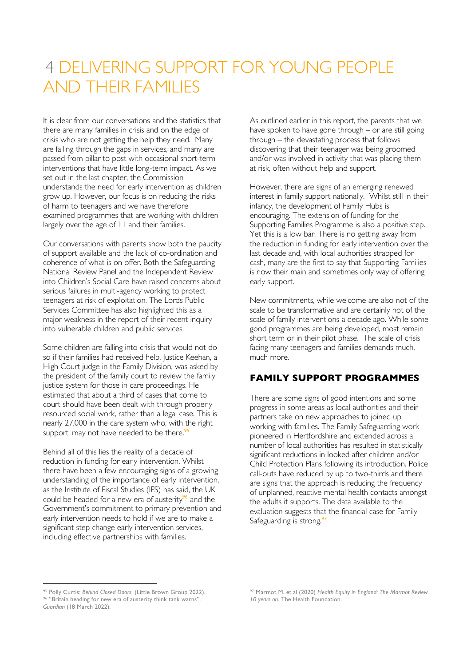# 4 DELIVERING SUPPORT FOR YOUNG PEOPLE AND THEIR FAMILIES

It is clear from our conversations and the statistics that there are many families in crisis and on the edge of crisis who are not getting the help they need. Many are failing through the gaps in services, and many are passed from pillar to post with occasional short-term interventions that have little long-term impact. As we set out in the last chapter, the Commission understands the need for early intervention as children grow up. However, our focus is on reducing the risks of harm to teenagers and we have therefore examined programmes that are working with children largely over the age of 11 and their families.

Our conversations with parents show both the paucity of support available and the lack of co-ordination and coherence of what is on offer. Both the Safeguarding National Review Panel and the Independent Review into Children's Social Care have raised concerns about serious failures in multi-agency working to protect teenagers at risk of exploitation. The Lords Public Services Committee has also highlighted this as a major weakness in the report of their recent inquiry into vulnerable children and public services.

Some children are falling into crisis that would not do so if their families had received help. Justice Keehan, a High Court judge in the Family Division, was asked by the president of the family court to review the family justice system for those in care proceedings. He estimated that about a third of cases that come to court should have been dealt with through properly resourced social work, rather than a legal case. This is nearly 27,000 in the care system who, with the right support, may not have needed to be there. $95$ 

Behind all of this lies the reality of a decade of reduction in funding for early intervention. Whilst there have been a few encouraging signs of a growing understanding of the importance of early intervention, as the Institute of Fiscal Studies (IFS) has said, the UK could be headed for a new era of austerity<sup>96</sup> and the Government's commitment to primary prevention and early intervention needs to hold if we are to make a significant step change early intervention services, including effective partnerships with families.

As outlined earlier in this report, the parents that we have spoken to have gone through – or are still going through – the devastating process that follows discovering that their teenager was being groomed and/or was involved in activity that was placing them at risk, often without help and support.

However, there are signs of an emerging renewed interest in family support nationally. Whilst still in their infancy, the development of Family Hubs is encouraging. The extension of funding for the Supporting Families Programme is also a positive step. Yet this is a low bar. There is no getting away from the reduction in funding for early intervention over the last decade and, with local authorities strapped for cash, many are the first to say that Supporting Families is now their main and sometimes only way of offering early support.

New commitments, while welcome are also not of the scale to be transformative and are certainly not of the scale of family interventions a decade ago. While some good programmes are being developed, most remain short term or in their pilot phase. The scale of crisis facing many teenagers and families demands much, much more.

#### **FAMILY SUPPORT PROGRAMMES**

There are some signs of good intentions and some progress in some areas as local authorities and their partners take on new approaches to joined up working with families. The Family Safeguarding work pioneered in Hertfordshire and extended across a number of local authorities has resulted in statistically significant reductions in looked after children and/or Child Protection Plans following its introduction. Police call-outs have reduced by up to two-thirds and there are signs that the approach is reducing the frequency of unplanned, reactive mental health contacts amongst the adults it supports. The data available to the evaluation suggests that the financial case for Family Safeguarding is strong.<sup>9</sup>

<sup>95</sup> Polly Curtis: *Behind Closed Doors*. (Little Brown Group 2022). <sup>96</sup> "Britain heading for new era of austerity think tank warns". *Guardian* (18 March 2022).

<sup>97</sup> Marmot M. et al (2020) *Health Equity in England: The Marmot Review 10 years on.* The Health Foundation.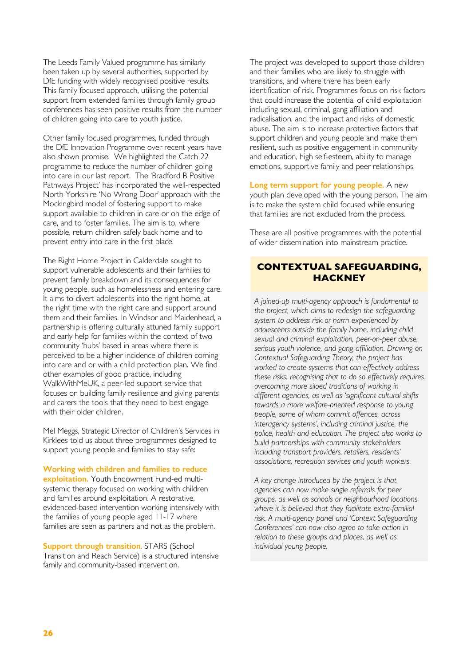The Leeds Family Valued programme has similarly been taken up by several authorities, supported by DfE funding with widely recognised positive results. This family focused approach, utilising the potential support from extended families through family group conferences has seen positive results from the number of children going into care to youth justice.

Other family focused programmes, funded through the DfE Innovation Programme over recent years have also shown promise. We highlighted the Catch 22 programme to reduce the number of children going into care in our last report. The 'Bradford B Positive Pathways Project' has incorporated the well-respected North Yorkshire 'No Wrong Door' approach with the Mockingbird model of fostering support to make support available to children in care or on the edge of care, and to foster families. The aim is to, where possible, return children safely back home and to prevent entry into care in the first place.

The Right Home Project in Calderdale sought to support vulnerable adolescents and their families to prevent family breakdown and its consequences for young people, such as homelessness and entering care. It aims to divert adolescents into the right home, at the right time with the right care and support around them and their families. In Windsor and Maidenhead, a partnership is offering culturally attuned family support and early help for families within the context of two community 'hubs' based in areas where there is perceived to be a higher incidence of children coming into care and or with a child protection plan. We find other examples of good practice, including WalkWithMeUK, a peer-led support service that focuses on building family resilience and giving parents and carers the tools that they need to best engage with their older children.

Mel Meggs, Strategic Director of Children's Services in Kirklees told us about three programmes designed to support young people and families to stay safe:

**Working with children and families to reduce exploitation.** Youth Endowment Fund-ed multisystemic therapy focused on working with children and families around exploitation. A restorative, evidenced-based intervention working intensively with the families of young people aged 11-17 where families are seen as partners and not as the problem.

**Support through transition***.* STARS (School Transition and Reach Service) is a structured intensive family and community-based intervention.

The project was developed to support those children and their families who are likely to struggle with transitions, and where there has been early identification of risk. Programmes focus on risk factors that could increase the potential of child exploitation including sexual, criminal, gang affiliation and radicalisation, and the impact and risks of domestic abuse. The aim is to increase protective factors that support children and young people and make them resilient, such as positive engagement in community and education, high self-esteem, ability to manage emotions, supportive family and peer relationships.

**Long term support for young people.** A new youth plan developed with the young person. The aim is to make the system child focused while ensuring that families are not excluded from the process.

These are all positive programmes with the potential of wider dissemination into mainstream practice.

#### **CONTEXTUAL SAFEGUARDING, HACKNEY**

*A joined-up multi-agency approach is fundamental to the project, which aims to redesign the safeguarding system to address risk or harm experienced by adolescents outside the family home, including child sexual and criminal exploitation, peer-on-peer abuse, serious youth violence, and gang affiliation. Drawing on Contextual Safeguarding Theory, the project has worked to create systems that can effectively address these risks, recognising that to do so effectively requires overcoming more siloed traditions of working in different agencies, as well as 'significant cultural shifts towards a more welfare-oriented response to young people, some of whom commit offences, across interagency systems', including criminal justice, the police, health and education. The project also works to build partnerships with community stakeholders including transport providers, retailers, residents' associations, recreation services and youth workers.* 

*A key change introduced by the project is that agencies can now make single referrals for peer groups, as well as schools or neighbourhood locations where it is believed that they facilitate extra-familial risk. A multi-agency panel and 'Context Safeguarding Conferences' can now also agree to take action in relation to these groups and places, as well as individual young people.*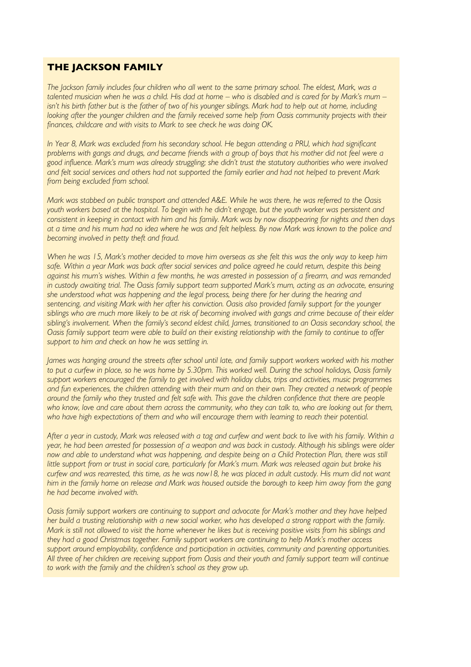#### **THE JACKSON FAMILY**

*The Jackson family includes four children who all went to the same primary school. The eldest, Mark, was a talented musician when he was a child. His dad at home – who is disabled and is cared for by Mark's mum – isn't his birth father but is the father of two of his younger siblings. Mark had to help out at home, including looking after the younger children and the family received some help from Oasis community projects with their finances, childcare and with visits to Mark to see check he was doing OK.* 

In Year 8, Mark was excluded from his secondary school. He began attending a PRU, which had significant *problems with gangs and drugs, and became friends with a group of boys that his mother did not feel were a good influence. Mark's mum was already struggling; she didn't trust the statutory authorities who were involved and felt social services and others had not supported the family earlier and had not helped to prevent Mark from being excluded from school.*

*Mark was stabbed on public transport and attended A&E. While he was there, he was referred to the Oasis youth workers based at the hospital. To begin with he didn't engage, but the youth worker was persistent and consistent in keeping in contact with him and his family. Mark was by now disappearing for nights and then days at a time and his mum had no idea where he was and felt helpless. By now Mark was known to the police and becoming involved in petty theft and fraud.* 

*When he was 15, Mark's mother decided to move him overseas as she felt this was the only way to keep him*  safe. Within a year Mark was back after social services and police agreed he could return, despite this being *against his mum's wishes. Within a few months, he was arrested in possession of a firearm, and was remanded*  in custody awaiting trial. The Oasis family support team supported Mark's mum, acting as an advocate, ensuring *she understood what was happening and the legal process, being there for her during the hearing and sentencing, and visiting Mark with her after his conviction. Oasis also provided family support for the younger siblings who are much more likely to be at risk of becoming involved with gangs and crime because of their elder*  sibling's involvement. When the family's second eldest child, James, transitioned to an Oasis secondary school, the *Oasis family support team were able to build on their existing relationship with the family to continue to offer support to him and check on how he was settling in.*

*James was hanging around the streets after school until late, and family support workers worked with his mother* to put a curfew in place, so he was home by 5.30pm. This worked well. During the school holidays, Oasis family *support workers encouraged the family to get involved with holiday clubs, trips and activities, music programmes and fun experiences, the children attending with their mum and on their own. They created a network of people around the family who they trusted and felt safe with. This gave the children confidence that there are people who know, love and care about them across the community, who they can talk to, who are looking out for them,*  who have high expectations of them and who will encourage them with learning to reach their potential.

*After a year in custody, Mark was released with a tag and curfew and went back to live with his family. Within a year, he had been arrested for possession of a weapon and was back in custody. Although his siblings were older*  now and able to understand what was happening, and despite being on a Child Protection Plan, there was still little support from or trust in social care, particularly for Mark's mum. Mark was released again but broke his *curfew and was rearrested, this time, as he was now18, he was placed in adult custody. His mum did not want him in the family home on release and Mark was housed outside the borough to keep him away from the gang he had become involved with.* 

*Oasis family support workers are continuing to support and advocate for Mark's mother and they have helped her build a trusting relationship with a new social worker, who has developed a strong rapport with the family. Mark is still not allowed to visit the home whenever he likes but is receiving positive visits from his siblings and they had a good Christmas together. Family support workers are continuing to help Mark's mother access support around employability, confidence and participation in activities, community and parenting opportunities. All three of her children are receiving support from Oasis and their youth and family support team will continue to work with the family and the children's school as they grow up.*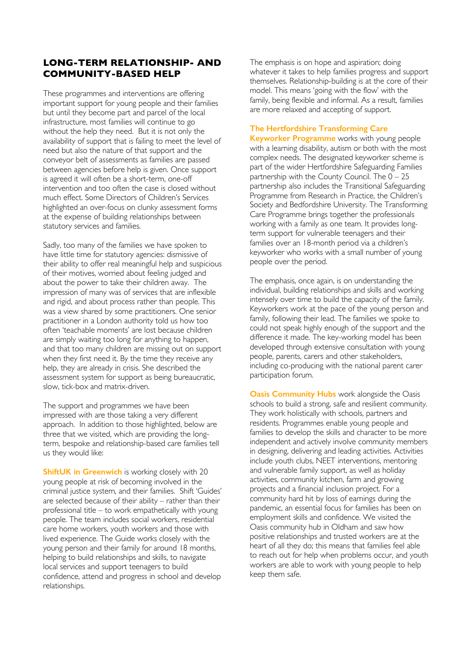#### **LONG-TERM RELATIONSHIP- AND COMMUNITY-BASED HELP**

These programmes and interventions are offering important support for young people and their families but until they become part and parcel of the local infrastructure, most families will continue to go without the help they need. But it is not only the availability of support that is failing to meet the level of need but also the nature of that support and the conveyor belt of assessments as families are passed between agencies before help is given. Once support is agreed it will often be a short-term, one-off intervention and too often the case is closed without much effect. Some Directors of Children's Services highlighted an over-focus on clunky assessment forms at the expense of building relationships between statutory services and families.

Sadly, too many of the families we have spoken to have little time for statutory agencies: dismissive of their ability to offer real meaningful help and suspicious of their motives, worried about feeling judged and about the power to take their children away. The impression of many was of services that are inflexible and rigid, and about process rather than people. This was a view shared by some practitioners. One senior practitioner in a London authority told us how too often 'teachable moments' are lost because children are simply waiting too long for anything to happen, and that too many children are missing out on support when they first need it. By the time they receive any help, they are already in crisis. She described the assessment system for support as being bureaucratic, slow, tick-box and matrix-driven.

The support and programmes we have been impressed with are those taking a very different approach. In addition to those highlighted, below are three that we visited, which are providing the longterm, bespoke and relationship-based care families tell us they would like:

**ShiftUK in Greenwich** is working closely with 20 young people at risk of becoming involved in the criminal justice system, and their families. Shift 'Guides' are selected because of their ability – rather than their professional title – to work empathetically with young people. The team includes social workers, residential care home workers, youth workers and those with lived experience. The Guide works closely with the young person and their family for around 18 months, helping to build relationships and skills, to navigate local services and support teenagers to build confidence, attend and progress in school and develop relationships.

The emphasis is on hope and aspiration; doing whatever it takes to help families progress and support themselves. Relationship-building is at the core of their model. This means 'going with the flow' with the family, being flexible and informal. As a result, families are more relaxed and accepting of support.

#### **The Hertfordshire Transforming Care**

**Keyworker Programme** works with young people with a learning disability, autism or both with the most complex needs. The designated keyworker scheme is part of the wider Hertfordshire Safeguarding Families partnership with the County Council. The  $0 - 25$ partnership also includes the Transitional Safeguarding Programme from Research in Practice, the Children's Society and Bedfordshire University. The Transforming Care Programme brings together the professionals working with a family as one team. It provides longterm support for vulnerable teenagers and their families over an 18-month period via a children's keyworker who works with a small number of young people over the period.

The emphasis, once again, is on understanding the individual, building relationships and skills and working intensely over time to build the capacity of the family. Keyworkers work at the pace of the young person and family, following their lead. The families we spoke to could not speak highly enough of the support and the difference it made. The key-working model has been developed through extensive consultation with young people, parents, carers and other stakeholders, including co-producing with the national parent carer participation forum.

**Oasis Community Hubs** work alongside the Oasis schools to build a strong, safe and resilient community. They work holistically with schools, partners and residents. Programmes enable young people and families to develop the skills and character to be more independent and actively involve community members in designing, delivering and leading activities. Activities include youth clubs, NEET interventions, mentoring and vulnerable family support, as well as holiday activities, community kitchen, farm and growing projects and a financial inclusion project. For a community hard hit by loss of earnings during the pandemic, an essential focus for families has been on employment skills and confidence. We visited the Oasis community hub in Oldham and saw how positive relationships and trusted workers are at the heart of all they do; this means that families feel able to reach out for help when problems occur, and youth workers are able to work with young people to help keep them safe.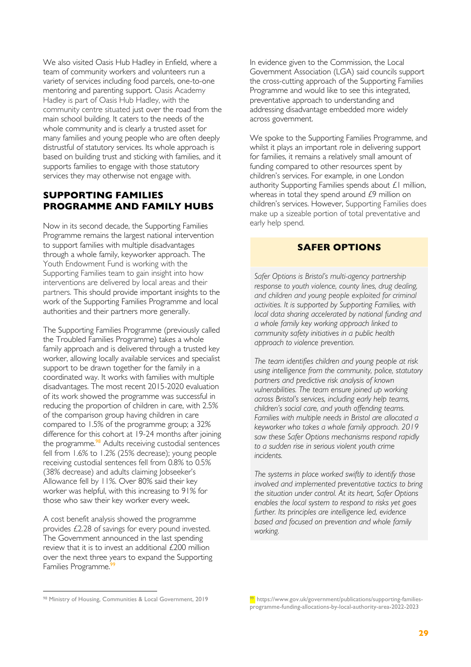We also visited Oasis Hub Hadley in Enfield, where a team of community workers and volunteers run a variety of services including food parcels, one-to-one mentoring and parenting support. Oasis Academy Hadley is part of Oasis Hub Hadley, with the community centre situated just over the road from the main school building. It caters to the needs of the whole community and is clearly a trusted asset for many families and young people who are often deeply distrustful of statutory services. Its whole approach is based on building trust and sticking with families, and it supports families to engage with those statutory services they may otherwise not engage with.

#### **SUPPORTING FAMILIES PROGRAMME AND FAMILY HUBS**

Now in its second decade, the Supporting Families Programme remains the largest national intervention to support families with multiple disadvantages through a whole family, keyworker approach. The Youth Endowment Fund is working with the Supporting Families team to gain insight into how interventions are delivered by local areas and their partners. This should provide important insights to the work of the Supporting Families Programme and local authorities and their partners more generally.

The Supporting Families Programme (previously called the Troubled Families Programme) takes a whole family approach and is delivered through a trusted key worker, allowing locally available services and specialist support to be drawn together for the family in a coordinated way. It works with families with multiple disadvantages. The most recent 2015-2020 evaluation of its work showed the programme was successful in reducing the proportion of children in care, with 2.5% of the comparison group having children in care compared to 1.5% of the programme group; a 32% difference for this cohort at 19-24 months after joining the programme. <sup>98</sup> Adults receiving custodial sentences fell from 1.6% to 1.2% (25% decrease); young people receiving custodial sentences fell from 0.8% to 0.5% (38% decrease) and adults claiming Jobseeker's Allowance fell by 11%. Over 80% said their key worker was helpful, with this increasing to 91% for those who saw their key worker every week.

A cost benefit analysis showed the programme provides £2.28 of savings for every pound invested. The Government announced in the last spending review that it is to invest an additional £200 million over the next three years to expand the Supporting Families Programme.<sup>9</sup>

In evidence given to the Commission, the Local Government Association (LGA) said councils support the cross-cutting approach of the Supporting Families Programme and would like to see this integrated, preventative approach to understanding and addressing disadvantage embedded more widely across government.

We spoke to the Supporting Families Programme, and whilst it plays an important role in delivering support for families, it remains a relatively small amount of funding compared to other resources spent by children's services. For example, in one London authority Supporting Families spends about £1 million, whereas in total they spend around £9 million on children's services. However, Supporting Families does make up a sizeable portion of total preventative and early help spend.

#### **SAFER OPTIONS**

*Safer Options is Bristol's multi-agency partnership response to youth violence, county lines, drug dealing, and children and young people exploited for criminal activities. It is supported by Supporting Families, with local data sharing accelerated by national funding and a whole family key working approach linked to community safety initiatives in a public health approach to violence prevention.* 

*The team identifies children and young people at risk using intelligence from the community, police, statutory partners and predictive risk analysis of known vulnerabilities. The team ensure joined up working across Bristol's services, including early help teams, children's social care, and youth offending teams. Families with multiple needs in Bristol are allocated a keyworker who takes a whole family approach. 2019 saw these Safer Options mechanisms respond rapidly to a sudden rise in serious violent youth crime incidents.* 

*The systems in place worked swiftly to identify those involved and implemented preventative tactics to bring the situation under control. At its heart, Safer Options enables the local system to respond to risks yet goes further. Its principles are intelligence led, evidence based and focused on prevention and whole family working.*

<sup>98</sup> Ministry of Housing, Communities & Local Government, 2019

<sup>&</sup>lt;sup>99</sup> https://www.gov.uk/government/publications/supporting-familiesprogramme-funding-allocations-by-local-authority-area-2022-2023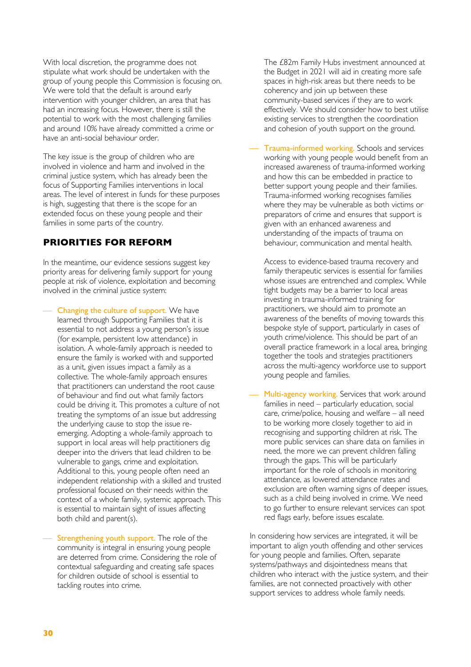With local discretion, the programme does not stipulate what work should be undertaken with the group of young people this Commission is focusing on. We were told that the default is around early intervention with younger children, an area that has had an increasing focus. However, there is still the potential to work with the most challenging families and around 10% have already committed a crime or have an anti-social behaviour order.

The key issue is the group of children who are involved in violence and harm and involved in the criminal justice system, which has already been the focus of Supporting Families interventions in local areas. The level of interest in funds for these purposes is high, suggesting that there is the scope for an extended focus on these young people and their families in some parts of the country.

#### **PRIORITIES FOR REFORM**

In the meantime, our evidence sessions suggest key priority areas for delivering family support for young people at risk of violence, exploitation and becoming involved in the criminal justice system:

Changing the culture of support. We have learned through Supporting Families that it is essential to not address a young person's issue (for example, persistent low attendance) in isolation. A whole-family approach is needed to ensure the family is worked with and supported as a unit, given issues impact a family as a collective. The whole-family approach ensures that practitioners can understand the root cause of behaviour and find out what family factors could be driving it. This promotes a culture of not treating the symptoms of an issue but addressing the underlying cause to stop the issue reemerging. Adopting a whole-family approach to support in local areas will help practitioners dig deeper into the drivers that lead children to be vulnerable to gangs, crime and exploitation. Additional to this, young people often need an independent relationship with a skilled and trusted professional focused on their needs within the context of a whole family, systemic approach. This is essential to maintain sight of issues affecting both child and parent(s).

Strengthening youth support. The role of the community is integral in ensuring young people are deterred from crime. Considering the role of contextual safeguarding and creating safe spaces for children outside of school is essential to tackling routes into crime.

The £82m Family Hubs investment announced at the Budget in 2021 will aid in creating more safe spaces in high-risk areas but there needs to be coherency and join up between these community-based services if they are to work effectively. We should consider how to best utilise existing services to strengthen the coordination and cohesion of youth support on the ground.

Trauma-informed working. Schools and services working with young people would benefit from an increased awareness of trauma-informed working and how this can be embedded in practice to better support young people and their families. Trauma-informed working recognises families where they may be vulnerable as both victims or preparators of crime and ensures that support is given with an enhanced awareness and understanding of the impacts of trauma on behaviour, communication and mental health.

Access to evidence-based trauma recovery and family therapeutic services is essential for families whose issues are entrenched and complex. While tight budgets may be a barrier to local areas investing in trauma-informed training for practitioners, we should aim to promote an awareness of the benefits of moving towards this bespoke style of support, particularly in cases of youth crime/violence. This should be part of an overall practice framework in a local area, bringing together the tools and strategies practitioners across the multi-agency workforce use to support young people and families.

Multi-agency working. Services that work around families in need – particularly education, social care, crime/police, housing and welfare – all need to be working more closely together to aid in recognising and supporting children at risk. The more public services can share data on families in need, the more we can prevent children falling through the gaps. This will be particularly important for the role of schools in monitoring attendance, as lowered attendance rates and exclusion are often warning signs of deeper issues, such as a child being involved in crime. We need to go further to ensure relevant services can spot red flags early, before issues escalate.

In considering how services are integrated, it will be important to align youth offending and other services for young people and families. Often, separate systems/pathways and disjointedness means that children who interact with the justice system, and their families, are not connected proactively with other support services to address whole family needs.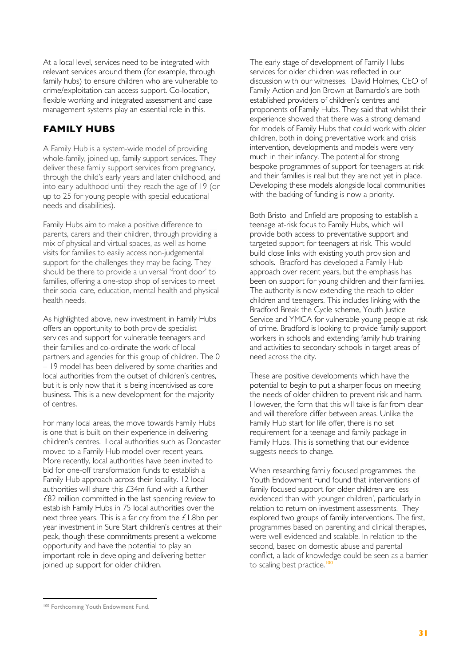At a local level, services need to be integrated with relevant services around them (for example, through family hubs) to ensure children who are vulnerable to crime/exploitation can access support. Co-location, flexible working and integrated assessment and case management systems play an essential role in this.

#### **FAMILY HUBS**

A Family Hub is a system-wide model of providing whole-family, joined up, family support services. They deliver these family support services from pregnancy, through the child's early years and later childhood, and into early adulthood until they reach the age of 19 (or up to 25 for young people with special educational needs and disabilities).

Family Hubs aim to make a positive difference to parents, carers and their children, through providing a mix of physical and virtual spaces, as well as home visits for families to easily access non-judgemental support for the challenges they may be facing. They should be there to provide a universal 'front door' to families, offering a one-stop shop of services to meet their social care, education, mental health and physical health needs.

As highlighted above, new investment in Family Hubs offers an opportunity to both provide specialist services and support for vulnerable teenagers and their families and co-ordinate the work of local partners and agencies for this group of children. The 0 – 19 model has been delivered by some charities and local authorities from the outset of children's centres, but it is only now that it is being incentivised as core business. This is a new development for the majority of centres.

For many local areas, the move towards Family Hubs is one that is built on their experience in delivering children's centres. Local authorities such as Doncaster moved to a Family Hub model over recent years. More recently, local authorities have been invited to bid for one-off transformation funds to establish a Family Hub approach across their locality. 12 local authorities will share this £34m fund with a further £82 million committed in the last spending review to establish Family Hubs in 75 local authorities over the next three years. This is a far cry from the £1.8bn per year investment in Sure Start children's centres at their peak, though these commitments present a welcome opportunity and have the potential to play an important role in developing and delivering better joined up support for older children.

The early stage of development of Family Hubs services for older children was reflected in our discussion with our witnesses. David Holmes, CEO of Family Action and Jon Brown at Barnardo's are both established providers of children's centres and proponents of Family Hubs. They said that whilst their experience showed that there was a strong demand for models of Family Hubs that could work with older children, both in doing preventative work and crisis intervention, developments and models were very much in their infancy. The potential for strong bespoke programmes of support for teenagers at risk and their families is real but they are not yet in place. Developing these models alongside local communities with the backing of funding is now a priority.

Both Bristol and Enfield are proposing to establish a teenage at-risk focus to Family Hubs, which will provide both access to preventative support and targeted support for teenagers at risk. This would build close links with existing youth provision and schools. Bradford has developed a Family Hub approach over recent years, but the emphasis has been on support for young children and their families. The authority is now extending the reach to older children and teenagers. This includes linking with the Bradford Break the Cycle scheme, Youth Justice Service and YMCA for vulnerable young people at risk of crime. Bradford is looking to provide family support workers in schools and extending family hub training and activities to secondary schools in target areas of need across the city.

These are positive developments which have the potential to begin to put a sharper focus on meeting the needs of older children to prevent risk and harm. However, the form that this will take is far from clear and will therefore differ between areas. Unlike the Family Hub start for life offer, there is no set requirement for a teenage and family package in Family Hubs. This is something that our evidence suggests needs to change.

When researching family focused programmes, the Youth Endowment Fund found that interventions of family focused support for older children are less evidenced than with younger children', particularly in relation to return on investment assessments. They explored two groups of family interventions. The first, programmes based on parenting and clinical therapies, were well evidenced and scalable. In relation to the second, based on domestic abuse and parental conflict, a lack of knowledge could be seen as a barrier to scaling best practice.<sup>100</sup>

<sup>100</sup> Forthcoming Youth Endowment Fund.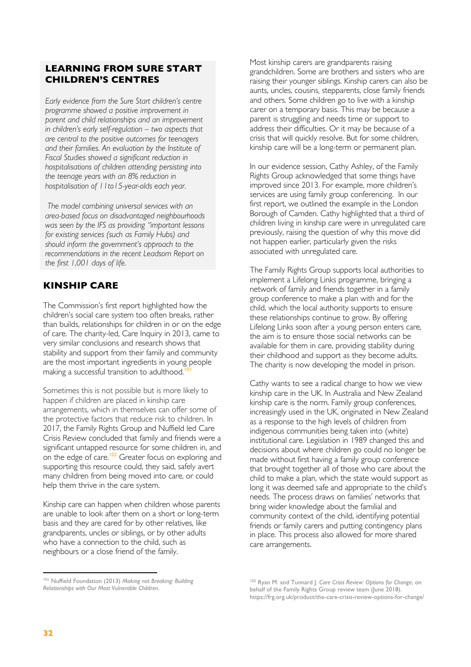#### **LEARNING FROM SURE START CHILDREN'S CENTRES**

*Early evidence from the Sure Start children's centre programme showed a positive improvement in parent and child relationships and an improvement in children's early self-regulation – two aspects that are central to the positive outcomes for teenagers and their families. An evaluation by the Institute of Fiscal Studies showed a significant reduction in hospitalisations of children attending persisting into the teenage years with an 8% reduction in hospitalisation of 11to15-year-olds each year.*

*The model combining universal services with an area-based focus on disadvantaged neighbourhoods was seen by the IFS as providing "important lessons for existing services (such as Family Hubs) and should inform the government's approach to the recommendations in the recent Leadsom Report on the first 1,001 days of life.* 

#### **KINSHIP CARE**

The Commission's first report highlighted how the children's social care system too often breaks, rather than builds, relationships for children in or on the edge of care. The charity-led, Care Inquiry in 2013, came to very similar conclusions and research shows that stability and support from their family and community are the most important ingredients in young people making a successful transition to adulthood.<sup>1</sup>

Sometimes this is not possible but is more likely to happen if children are placed in kinship care arrangements, which in themselves can offer some of the protective factors that reduce risk to children. In 2017, the Family Rights Group and Nuffield led Care Crisis Review concluded that family and friends were a significant untapped resource for some children in, and on the edge of care.<sup>102</sup> Greater focus on exploring and supporting this resource could, they said, safely avert many children from being moved into care, or could help them thrive in the care system.

Kinship care can happen when children whose parents are unable to look after them on a short or long-term basis and they are cared for by other relatives, like grandparents, uncles or siblings, or by other adults who have a connection to the child, such as neighbours or a close friend of the family.

Most kinship carers are grandparents raising grandchildren. Some are brothers and sisters who are raising their younger siblings. Kinship carers can also be aunts, uncles, cousins, stepparents, close family friends and others. Some children go to live with a kinship carer on a temporary basis. This may be because a parent is struggling and needs time or support to address their difficulties. Or it may be because of a crisis that will quickly resolve. But for some children, kinship care will be a long-term or permanent plan.

In our evidence session, Cathy Ashley, of the Family Rights Group acknowledged that some things have improved since 2013. For example, more children's services are using family group conferencing. In our first report, we outlined the example in the London Borough of Camden. Cathy highlighted that a third of children living in kinship care were in unregulated care previously, raising the question of why this move did not happen earlier, particularly given the risks associated with unregulated care.

The Family Rights Group supports local authorities to implement a Lifelong Links programme, bringing a network of family and friends together in a family group conference to make a plan with and for the child, which the local authority supports to ensure these relationships continue to grow. By offering Lifelong Links soon after a young person enters care, the aim is to ensure those social networks can be available for them in care, providing stability during their childhood and support as they become adults. The charity is now developing the model in prison.

Cathy wants to see a radical change to how we view kinship care in the UK. In Australia and New Zealand kinship care is the norm. Family group conferences, increasingly used in the UK, originated in New Zealand as a response to the high levels of children from indigenous communities being taken into (white) institutional care. Legislation in 1989 changed this and decisions about where children go could no longer be made without first having a family group conference that brought together all of those who care about the child to make a plan, which the state would support as long it was deemed safe and appropriate to the child's needs. The process draws on families' networks that bring wider knowledge about the familial and community context of the child, identifying potential friends or family carers and putting contingency plans in place. This process also allowed for more shared care arrangements.

<sup>101</sup> Nuffield Foundation (2013) *Making not Breaking: Building Relationships with Our Most Vulnerable Children*.

<sup>102</sup> Ryan M. and Tunnard J. *Care Crisis Review: Options for Change*, on behalf of the Family Rights Group review team (June 2018). https://frg.org.uk/product/the-care-crisis-review-options-for-change/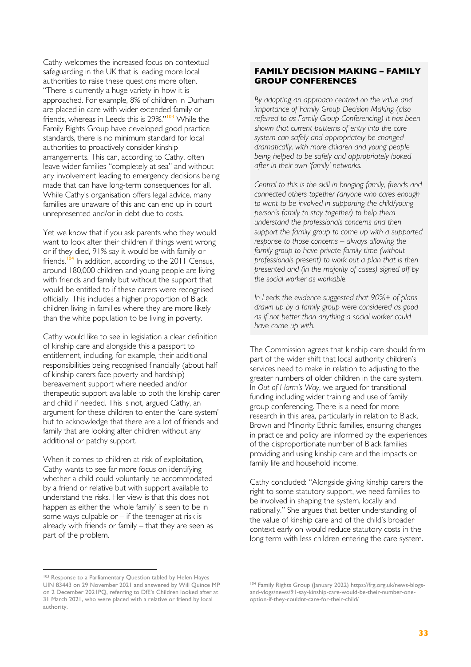Cathy welcomes the increased focus on contextual safeguarding in the UK that is leading more local authorities to raise these questions more often. "There is currently a huge variety in how it is approached. For example, 8% of children in Durham are placed in care with wider extended family or friends, whereas in Leeds this is 29%."<sup>103</sup> While the Family Rights Group have developed good practice standards, there is no minimum standard for local authorities to proactively consider kinship arrangements. This can, according to Cathy, often leave wider families "completely at sea" and without any involvement leading to emergency decisions being made that can have long-term consequences for all. While Cathy's organisation offers legal advice, many families are unaware of this and can end up in court unrepresented and/or in debt due to costs.

Yet we know that if you ask parents who they would want to look after their children if things went wrong or if they died, 91% say it would be with family or friends.<sup>104</sup> In addition, according to the 2011 Census, around 180,000 children and young people are living with friends and family but without the support that would be entitled to if these carers were recognised officially. This includes a higher proportion of Black children living in families where they are more likely than the white population to be living in poverty.

Cathy would like to see in legislation a clear definition of kinship care and alongside this a passport to entitlement, including, for example, their additional responsibilities being recognised financially (about half of kinship carers face poverty and hardship) bereavement support where needed and/or therapeutic support available to both the kinship carer and child if needed. This is not, argued Cathy, an argument for these children to enter the 'care system' but to acknowledge that there are a lot of friends and family that are looking after children without any additional or patchy support.

When it comes to children at risk of exploitation, Cathy wants to see far more focus on identifying whether a child could voluntarily be accommodated by a friend or relative but with support available to understand the risks. Her view is that this does not happen as either the 'whole family' is seen to be in some ways culpable or  $-$  if the teenager at risk is already with friends or family – that they are seen as part of the problem.

#### **FAMILY DECISION MAKING – FAMILY GROUP CONFERENCES**

*By adopting an approach centred on the value and importance of Family Group Decision Making (also referred to as Family Group Conferencing) it has been shown that current patterns of entry into the care system can safely and appropriately be changed dramatically, with more children and young people being helped to be safely and appropriately looked after in their own 'family' networks.*

*Central to this is the skill in bringing family, friends and connected others together (anyone who cares enough to want to be involved in supporting the child/young person's family to stay together) to help them understand the professionals concerns and then support the family group to come up with a supported response to those concerns – always allowing the family group to have private family time (without professionals present) to work out a plan that is then presented and (in the majority of cases) signed off by the social worker as workable.*

*In Leeds the evidence suggested that 90%+ of plans drawn up by a family group were considered as good as if not better than anything a social worker could have come up with.*

The Commission agrees that kinship care should form part of the wider shift that local authority children's services need to make in relation to adjusting to the greater numbers of older children in the care system. In *Out of Harm's Way*, we argued for transitional funding including wider training and use of family group conferencing. There is a need for more research in this area, particularly in relation to Black, Brown and Minority Ethnic families, ensuring changes in practice and policy are informed by the experiences of the disproportionate number of Black families providing and using kinship care and the impacts on family life and household income.

Cathy concluded: "Alongside giving kinship carers the right to some statutory support, we need families to be involved in shaping the system, locally and nationally." She argues that better understanding of the value of kinship care and of the child's broader context early on would reduce statutory costs in the long term with less children entering the care system.

<sup>&</sup>lt;sup>103</sup> Response to a Parliamentary Question tabled by Helen Hayes UIN 83443 on 29 November 2021 and answered by Will Quince MP on 2 December 2021PQ, referring to DfE's Children looked after at 31 March 2021, who were placed with a relative or friend by local authority.

<sup>104</sup> Family Rights Group (January 2022) https://frg.org.uk/news-blogsand-vlogs/news/91-say-kinship-care-would-be-their-number-oneoption-if-they-couldnt-care-for-their-child/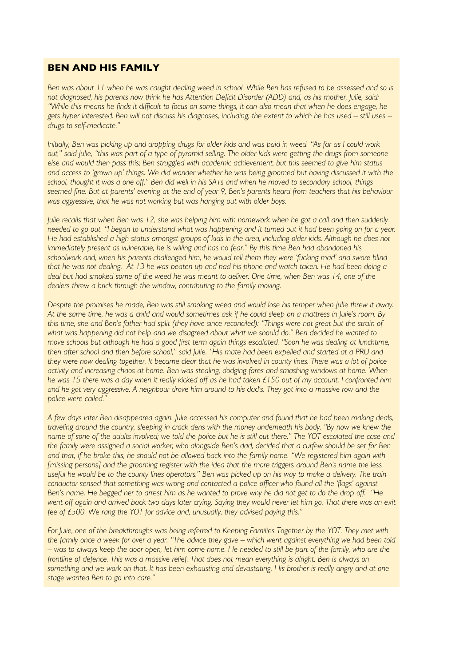#### **BEN AND HIS FAMILY**

*Ben was about 11 when he was caught dealing weed in school. While Ben has refused to be assessed and so is not diagnosed, his parents now think he has Attention Deficit Disorder (ADD) and, as his mother, Julie, said: "While this means he finds it difficult to focus on some things, it can also mean that when he does engage, he gets hyper interested. Ben will not discuss his diagnoses, including, the extent to which he has used – still uses – drugs to self-medicate."*

*Initially, Ben was picking up and dropping drugs for older kids and was paid in weed. "As far as I could work out," said Julie, "this was part of a type of pyramid selling. The older kids were getting the drugs from someone else and would then pass this; Ben struggled with academic achievement, but this seemed to give him status and access to 'grown up' things. We did wonder whether he was being groomed but having discussed it with the school, thought it was a one off." Ben did well in his SATs and when he moved to secondary school, things seemed fine. But at parents' evening at the end of year 9, Ben's parents heard from teachers that his behaviour was aggressive, that he was not working but was hanging out with older boys.*

*Julie recalls that when Ben was 12, she was helping him with homework when he got a call and then suddenly needed to go out. "I began to understand what was happening and it turned out it had been going on for a year. He had established a high status amongst groups of kids in the area, including older kids. Although he does not immediately present as vulnerable, he is willing and has no fear." By this time Ben had abandoned his schoolwork and, when his parents challenged him, he would tell them they were 'fucking mad' and swore blind that he was not dealing. At 13 he was beaten up and had his phone and watch taken. He had been doing a deal but had smoked some of the weed he was meant to deliver. One time, when Ben was 14, one of the dealers threw a brick through the window, contributing to the family moving.* 

*Despite the promises he made, Ben was still smoking weed and would lose his temper when Julie threw it away. At the same time, he was a child and would sometimes ask if he could sleep on a mattress in Julie's room. By this time, she and Ben's father had split (they have since reconciled): "Things were not great but the strain of what was happening did not help and we disagreed about what we should do." Ben decided he wanted to move schools but although he had a good first term again things escalated. "Soon he was dealing at lunchtime, then after school and then before school," said Julie. "His mate had been expelled and started at a PRU and they were now dealing together. It became clear that he was involved in county lines. There was a lot of police activity and increasing chaos at home. Ben was stealing, dodging fares and smashing windows at home. When he was 15 there was a day when it really kicked off as he had taken £150 out of my account. I confronted him and he got very aggressive. A neighbour drove him around to his dad's. They got into a massive row and the police were called."*

*A few days later Ben disappeared again. Julie accessed his computer and found that he had been making deals, traveling around the country, sleeping in crack dens with the money underneath his body. "By now we knew the name of sone of the adults involved; we told the police but he is still out there." The YOT escalated the case and the family were assigned a social worker, who alongside Ben's dad, decided that a curfew should be set for Ben and that, if he broke this, he should not be allowed back into the family home. "We registered him again with [missing persons] and the grooming register with the idea that the more triggers around Ben's name the less useful he would be to the county lines operators." Ben was picked up on his way to make a delivery. The train conductor sensed that something was wrong and contacted a police officer who found all the 'flags' against Ben's name. He begged her to arrest him as he wanted to prove why he did not get to do the drop off. "He*  went off again and arrived back two days later crying. Saying they would never let him go. That there was an exit *fee of £500. We rang the YOT for advice and, unusually, they advised paying this."* 

*For Julie, one of the breakthroughs was being referred to Keeping Families Together by the YOT. They met with the family once a week for over a year. "The advice they gave – which went against everything we had been told – was to always keep the door open, let him come home. He needed to still be part of the family, who are the frontline of defence. This was a massive relief. That does not mean everything is alright. Ben is always on something and we work on that. It has been exhausting and devastating. His brother is really angry and at one stage wanted Ben to go into care."*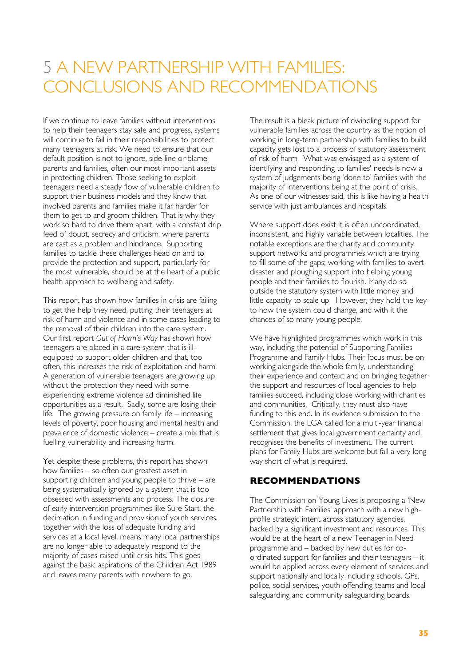# 5 A NEW PARTNERSHIP WITH FAMILIES: CONCLUSIONS AND RECOMMENDATIONS

If we continue to leave families without interventions to help their teenagers stay safe and progress, systems will continue to fail in their responsibilities to protect many teenagers at risk. We need to ensure that our default position is not to ignore, side-line or blame parents and families, often our most important assets in protecting children. Those seeking to exploit teenagers need a steady flow of vulnerable children to support their business models and they know that involved parents and families make it far harder for them to get to and groom children. That is why they work so hard to drive them apart, with a constant drip feed of doubt, secrecy and criticism, where parents are cast as a problem and hindrance. Supporting families to tackle these challenges head on and to provide the protection and support, particularly for the most vulnerable, should be at the heart of a public health approach to wellbeing and safety.

This report has shown how families in crisis are failing to get the help they need, putting their teenagers at risk of harm and violence and in some cases leading to the removal of their children into the care system. Our first report *Out of Harm's Way* has shown how teenagers are placed in a care system that is illequipped to support older children and that, too often, this increases the risk of exploitation and harm. A generation of vulnerable teenagers are growing up without the protection they need with some experiencing extreme violence ad diminished life opportunities as a result. Sadly, some are losing their life. The growing pressure on family life – increasing levels of poverty, poor housing and mental health and prevalence of domestic violence – create a mix that is fuelling vulnerability and increasing harm.

Yet despite these problems, this report has shown how families – so often our greatest asset in supporting children and young people to thrive – are being systematically ignored by a system that is too obsessed with assessments and process. The closure of early intervention programmes like Sure Start, the decimation in funding and provision of youth services, together with the loss of adequate funding and services at a local level, means many local partnerships are no longer able to adequately respond to the majority of cases raised until crisis hits. This goes against the basic aspirations of the Children Act 1989 and leaves many parents with nowhere to go.

The result is a bleak picture of dwindling support for vulnerable families across the country as the notion of working in long-term partnership with families to build capacity gets lost to a process of statutory assessment of risk of harm. What was envisaged as a system of identifying and responding to families' needs is now a system of judgements being 'done to' families with the majority of interventions being at the point of crisis. As one of our witnesses said, this is like having a health service with just ambulances and hospitals.

Where support does exist it is often uncoordinated, inconsistent, and highly variable between localities. The notable exceptions are the charity and community support networks and programmes which are trying to fill some of the gaps; working with families to avert disaster and ploughing support into helping young people and their families to flourish. Many do so outside the statutory system with little money and little capacity to scale up. However, they hold the key to how the system could change, and with it the chances of so many young people.

We have highlighted programmes which work in this way, including the potential of Supporting Families Programme and Family Hubs. Their focus must be on working alongside the whole family, understanding their experience and context and on bringing together the support and resources of local agencies to help families succeed, including close working with charities and communities. Critically, they must also have funding to this end. In its evidence submission to the Commission, the LGA called for a multi-year financial settlement that gives local government certainty and recognises the benefits of investment. The current plans for Family Hubs are welcome but fall a very long way short of what is required.

#### **RECOMMENDATIONS**

The Commission on Young Lives is proposing a 'New Partnership with Families' approach with a new highprofile strategic intent across statutory agencies, backed by a significant investment and resources. This would be at the heart of a new Teenager in Need programme and – backed by new duties for coordinated support for families and their teenagers – it would be applied across every element of services and support nationally and locally including schools, GPs, police, social services, youth offending teams and local safeguarding and community safeguarding boards.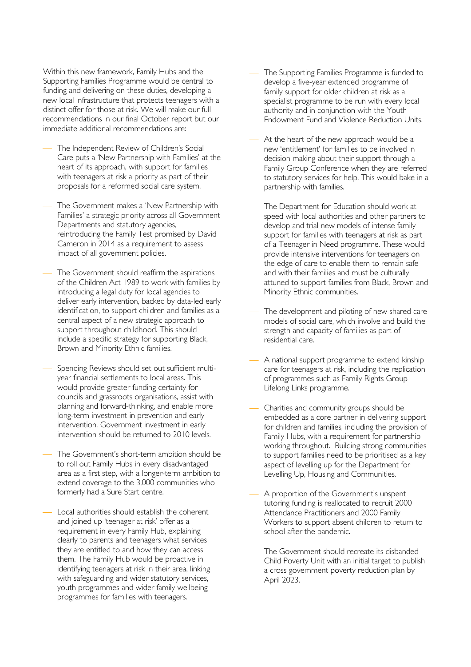Within this new framework, Family Hubs and the Supporting Families Programme would be central to funding and delivering on these duties, developing a new local infrastructure that protects teenagers with a distinct offer for those at risk. We will make our full recommendations in our final October report but our immediate additional recommendations are:

- The Independent Review of Children's Social Care puts a 'New Partnership with Families' at the heart of its approach, with support for families with teenagers at risk a priority as part of their proposals for a reformed social care system.
- The Government makes a 'New Partnership with Families' a strategic priority across all Government Departments and statutory agencies, reintroducing the Family Test promised by David Cameron in 2014 as a requirement to assess impact of all government policies.
- The Government should reaffirm the aspirations of the Children Act 1989 to work with families by introducing a legal duty for local agencies to deliver early intervention, backed by data-led early identification, to support children and families as a central aspect of a new strategic approach to support throughout childhood. This should include a specific strategy for supporting Black, Brown and Minority Ethnic families.
- Spending Reviews should set out sufficient multiyear financial settlements to local areas. This would provide greater funding certainty for councils and grassroots organisations, assist with planning and forward-thinking, and enable more long-term investment in prevention and early intervention. Government investment in early intervention should be returned to 2010 levels.
- The Government's short-term ambition should be to roll out Family Hubs in every disadvantaged area as a first step, with a longer-term ambition to extend coverage to the 3,000 communities who formerly had a Sure Start centre.
- Local authorities should establish the coherent and joined up 'teenager at risk' offer as a requirement in every Family Hub, explaining clearly to parents and teenagers what services they are entitled to and how they can access them. The Family Hub would be proactive in identifying teenagers at risk in their area, linking with safeguarding and wider statutory services, youth programmes and wider family wellbeing programmes for families with teenagers.
- The Supporting Families Programme is funded to develop a five-year extended programme of family support for older children at risk as a specialist programme to be run with every local authority and in conjunction with the Youth Endowment Fund and Violence Reduction Units.
- At the heart of the new approach would be a new 'entitlement' for families to be involved in decision making about their support through a Family Group Conference when they are referred to statutory services for help. This would bake in a partnership with families.
- The Department for Education should work at speed with local authorities and other partners to develop and trial new models of intense family support for families with teenagers at risk as part of a Teenager in Need programme. These would provide intensive interventions for teenagers on the edge of care to enable them to remain safe and with their families and must be culturally attuned to support families from Black, Brown and Minority Ethnic communities.
- The development and piloting of new shared care models of social care, which involve and build the strength and capacity of families as part of residential care.
- A national support programme to extend kinship care for teenagers at risk, including the replication of programmes such as Family Rights Group Lifelong Links programme.
- Charities and community groups should be embedded as a core partner in delivering support for children and families, including the provision of Family Hubs, with a requirement for partnership working throughout. Building strong communities to support families need to be prioritised as a key aspect of levelling up for the Department for Levelling Up, Housing and Communities.
- ¾ A proportion of the Government's unspent tutoring funding is reallocated to recruit 2000 Attendance Practitioners and 2000 Family Workers to support absent children to return to school after the pandemic.
- The Government should recreate its disbanded Child Poverty Unit with an initial target to publish a cross government poverty reduction plan by April 2023.